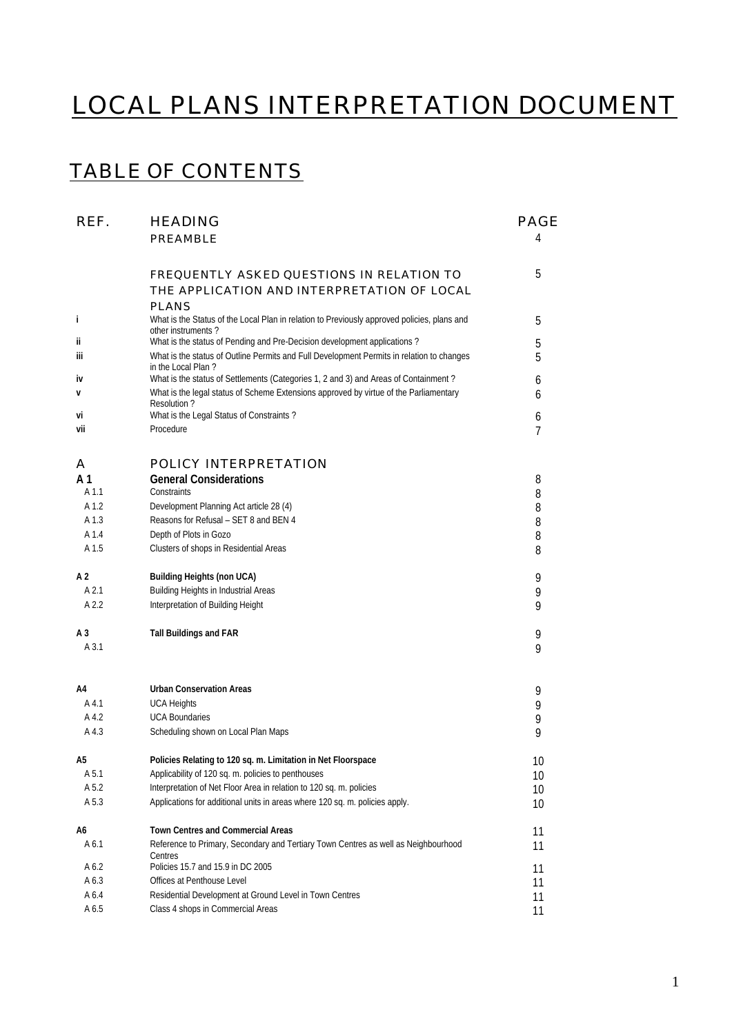# LOCAL PLANS INTERPRETATION DOCUMENT

### TABLE OF CONTENTS

| REF.             | <b>HEADING</b>                                                                                                                                                               | <b>PAGE</b>    |
|------------------|------------------------------------------------------------------------------------------------------------------------------------------------------------------------------|----------------|
|                  | <b>PREAMBLE</b>                                                                                                                                                              | 4              |
|                  | <b>FREQUENTLY ASKED QUESTIONS IN RELATION TO</b>                                                                                                                             | 5              |
|                  | THE APPLICATION AND INTERPRETATION OF LOCAL                                                                                                                                  |                |
|                  | <b>PLANS</b>                                                                                                                                                                 |                |
| i                | What is the Status of the Local Plan in relation to Previously approved policies, plans and                                                                                  | 5              |
| ij               | other instruments?<br>What is the status of Pending and Pre-Decision development applications?                                                                               | 5              |
| iij              | What is the status of Outline Permits and Full Development Permits in relation to changes                                                                                    | 5              |
|                  | in the Local Plan?                                                                                                                                                           |                |
| iv               | What is the status of Settlements (Categories 1, 2 and 3) and Areas of Containment?<br>What is the legal status of Scheme Extensions approved by virtue of the Parliamentary | 6              |
| v                | Resolution?                                                                                                                                                                  | 6              |
| vi               | What is the Legal Status of Constraints?                                                                                                                                     | 6              |
| vii              | Procedure                                                                                                                                                                    | $\overline{7}$ |
| A                | <b>POLICY INTERPRETATION</b>                                                                                                                                                 |                |
| A <sub>1</sub>   | <b>General Considerations</b>                                                                                                                                                | 8              |
| A <sub>1.1</sub> | Constraints                                                                                                                                                                  | 8              |
| A 1.2            | Development Planning Act article 28 (4)                                                                                                                                      | 8              |
| A 1.3            | Reasons for Refusal - SET 8 and BEN 4                                                                                                                                        | 8              |
| A 1.4            | Depth of Plots in Gozo                                                                                                                                                       | 8              |
| A 1.5            | Clusters of shops in Residential Areas                                                                                                                                       | 8              |
| A 2              | <b>Building Heights (non UCA)</b>                                                                                                                                            | 9              |
| A 2.1            | Building Heights in Industrial Areas                                                                                                                                         | 9              |
| A 2.2            | Interpretation of Building Height                                                                                                                                            | 9              |
| A 3              | <b>Tall Buildings and FAR</b>                                                                                                                                                | 9              |
| A 3.1            |                                                                                                                                                                              | 9              |
| A4               | <b>Urban Conservation Areas</b>                                                                                                                                              | 9              |
| A 4.1            | <b>UCA Heights</b>                                                                                                                                                           | 9              |
| A 4.2            | <b>UCA Boundaries</b>                                                                                                                                                        | 9              |
| A 4.3            | Scheduling shown on Local Plan Maps                                                                                                                                          | 9              |
| A5.              | Policies Relating to 120 sq. m. Limitation in Net Floorspace                                                                                                                 | 10             |
| A 5.1            | Applicability of 120 sq. m. policies to penthouses                                                                                                                           | 10             |
| A 5.2            | Interpretation of Net Floor Area in relation to 120 sq. m. policies                                                                                                          | 10             |
| A 5.3            | Applications for additional units in areas where 120 sq. m. policies apply.                                                                                                  | 10             |
| A6               | Town Centres and Commercial Areas                                                                                                                                            | 11             |
| A 6.1            | Reference to Primary, Secondary and Tertiary Town Centres as well as Neighbourhood<br>Centres                                                                                | 11             |
| A 6.2            | Policies 15.7 and 15.9 in DC 2005                                                                                                                                            | 11             |
| A 6.3            | Offices at Penthouse Level                                                                                                                                                   | 11             |
| A 6.4            | Residential Development at Ground Level in Town Centres                                                                                                                      | 11             |
| A 6.5            | Class 4 shops in Commercial Areas                                                                                                                                            | 11             |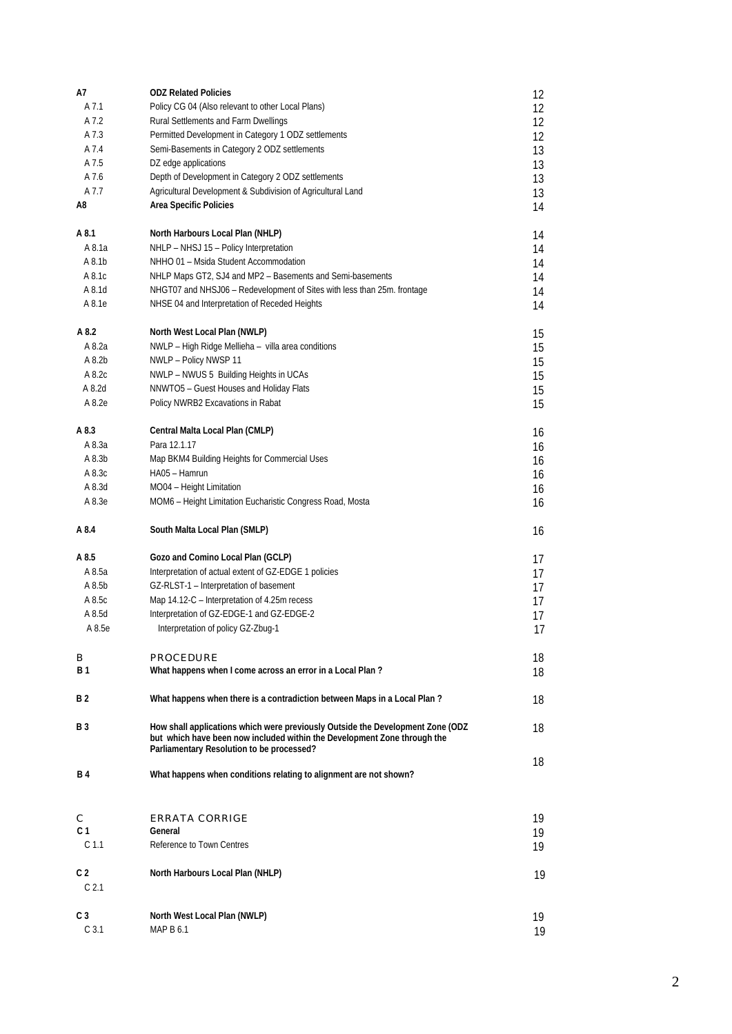| A7                                 | <b>ODZ Related Policies</b>                                                     | 12       |
|------------------------------------|---------------------------------------------------------------------------------|----------|
| A 7.1                              | Policy CG 04 (Also relevant to other Local Plans)                               | 12       |
| A 7.2                              | Rural Settlements and Farm Dwellings                                            | 12       |
| A 7.3                              | Permitted Development in Category 1 ODZ settlements                             |          |
|                                    |                                                                                 | 12       |
| A 7.4                              | Semi-Basements in Category 2 ODZ settlements                                    | 13       |
| A 7.5                              | DZ edge applications                                                            | 13       |
| A 7.6                              | Depth of Development in Category 2 ODZ settlements                              | 13       |
| A 7.7                              | Agricultural Development & Subdivision of Agricultural Land                     | 13       |
| A8                                 | Area Specific Policies                                                          | 14       |
|                                    |                                                                                 |          |
| A 8.1                              | North Harbours Local Plan (NHLP)                                                | 14       |
| A 8.1a                             | NHLP - NHSJ 15 - Policy Interpretation                                          | 14       |
| A 8.1b                             | NHHO 01 - Msida Student Accommodation                                           | 14       |
| A 8.1c                             | NHLP Maps GT2, SJ4 and MP2 - Basements and Semi-basements                       | 14       |
| A 8.1d                             | NHGT07 and NHSJ06 - Redevelopment of Sites with less than 25m. frontage         | 14       |
| A 8.1e                             | NHSE 04 and Interpretation of Receded Heights                                   |          |
|                                    |                                                                                 | 14       |
|                                    |                                                                                 |          |
| A 8.2                              | North West Local Plan (NWLP)                                                    | 15       |
| A 8.2a                             | NWLP - High Ridge Mellieha - villa area conditions                              | 15       |
| A 8.2b                             | NWLP - Policy NWSP 11                                                           | 15       |
| A 8.2c                             | NWLP - NWUS 5 Building Heights in UCAs                                          | 15       |
| A 8.2d                             | NNWTO5 - Guest Houses and Holiday Flats                                         | 15       |
| A 8.2e                             | Policy NWRB2 Excavations in Rabat                                               | 15       |
|                                    |                                                                                 |          |
| A 8.3                              | Central Malta Local Plan (CMLP)                                                 | 16       |
| A 8.3a                             | Para 12.1.17                                                                    |          |
|                                    |                                                                                 | 16       |
| A 8.3b                             | Map BKM4 Building Heights for Commercial Uses                                   | 16       |
| A 8.3c                             | HA05 - Hamrun                                                                   | 16       |
| A 8.3d                             | MO04 - Height Limitation                                                        | 16       |
| A 8.3e                             | MOM6 - Height Limitation Eucharistic Congress Road, Mosta                       | 16       |
|                                    |                                                                                 |          |
| A 8.4                              | South Malta Local Plan (SMLP)                                                   | 16       |
|                                    |                                                                                 |          |
| A 8.5                              | Gozo and Comino Local Plan (GCLP)                                               | 17       |
| A 8.5a                             | Interpretation of actual extent of GZ-EDGE 1 policies                           | 17       |
| A 8.5b                             | GZ-RLST-1 - Interpretation of basement                                          | 17       |
| A 8.5c                             | Map 14.12-C - Interpretation of 4.25m recess                                    | 17       |
| A 8.5d                             | Interpretation of GZ-EDGE-1 and GZ-EDGE-2                                       | 17       |
| A 8.5e                             | Interpretation of policy GZ-Zbug-1                                              | 17       |
|                                    |                                                                                 |          |
|                                    |                                                                                 |          |
| в                                  | <b>PROCEDURE</b>                                                                | 18       |
| B 1                                | What happens when I come across an error in a Local Plan?                       | 18       |
|                                    |                                                                                 |          |
| <b>B2</b>                          | What happens when there is a contradiction between Maps in a Local Plan?        | 18       |
|                                    |                                                                                 |          |
| <b>B</b> 3                         | How shall applications which were previously Outside the Development Zone (ODZ) | 18       |
|                                    | but which have been now included within the Development Zone through the        |          |
|                                    | Parliamentary Resolution to be processed?                                       |          |
|                                    |                                                                                 | 18       |
| <b>B</b> 4                         | What happens when conditions relating to alignment are not shown?               |          |
|                                    |                                                                                 |          |
|                                    |                                                                                 |          |
| С                                  | <b>ERRATA CORRIGE</b>                                                           | 19       |
| C 1                                | General                                                                         | 19       |
| C <sub>1.1</sub>                   | Reference to Town Centres                                                       | 19       |
|                                    |                                                                                 |          |
| C <sub>2</sub>                     | North Harbours Local Plan (NHLP)                                                | 19       |
| C <sub>2.1</sub>                   |                                                                                 |          |
|                                    |                                                                                 |          |
|                                    |                                                                                 |          |
|                                    |                                                                                 |          |
| C <sub>3</sub><br>C <sub>3.1</sub> | North West Local Plan (NWLP)<br>MAP B 6.1                                       | 19<br>19 |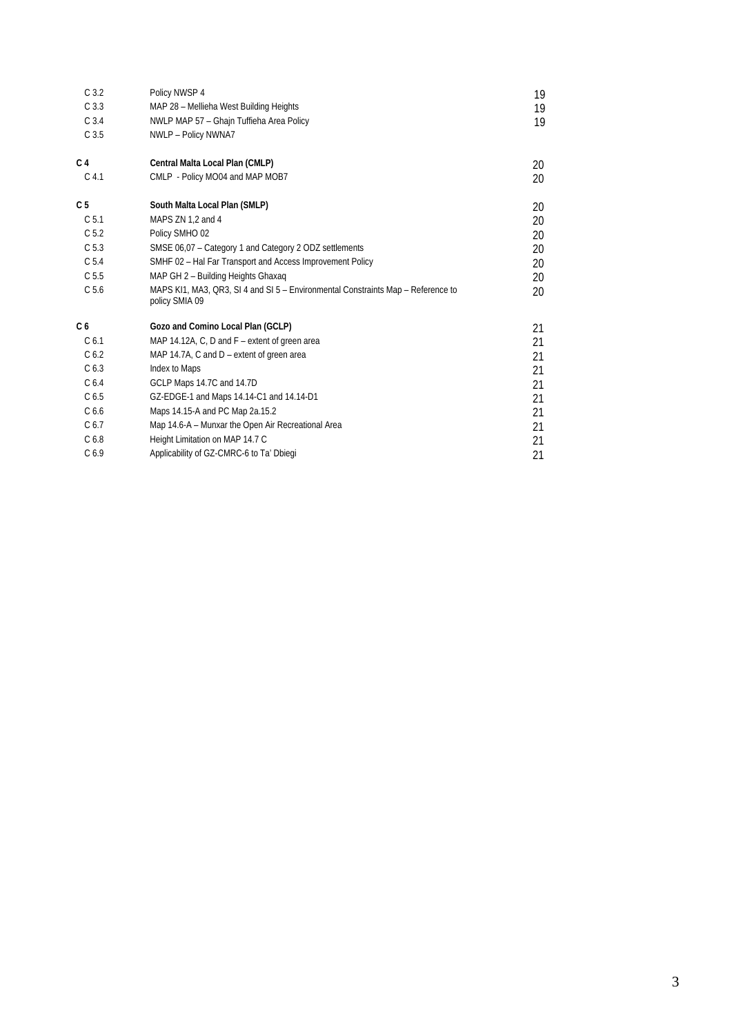| C <sub>3.2</sub> | Policy NWSP 4                                                                                      | 19 |
|------------------|----------------------------------------------------------------------------------------------------|----|
| C <sub>3.3</sub> | MAP 28 - Mellieha West Building Heights                                                            | 19 |
| C <sub>3.4</sub> | NWLP MAP 57 - Ghajn Tuffieha Area Policy                                                           | 19 |
| C <sub>3.5</sub> | NWLP - Policy NWNA7                                                                                |    |
| C <sub>4</sub>   | Central Malta Local Plan (CMLP)                                                                    | 20 |
| C <sub>4.1</sub> | CMLP - Policy MO04 and MAP MOB7                                                                    | 20 |
| C <sub>5</sub>   | South Malta Local Plan (SMLP)                                                                      | 20 |
| C <sub>5.1</sub> | MAPS ZN 1,2 and 4                                                                                  | 20 |
| C <sub>5.2</sub> | Policy SMHO 02                                                                                     | 20 |
| C <sub>5.3</sub> | SMSE 06,07 - Category 1 and Category 2 ODZ settlements                                             | 20 |
| C <sub>5.4</sub> | SMHF 02 - Hal Far Transport and Access Improvement Policy                                          | 20 |
| C <sub>5.5</sub> | MAP GH 2 - Building Heights Ghaxag                                                                 | 20 |
| C <sub>5.6</sub> | MAPS KI1, MA3, QR3, SI 4 and SI 5 - Environmental Constraints Map - Reference to<br>policy SMIA 09 | 20 |
| C <sub>6</sub>   | Gozo and Comino Local Plan (GCLP)                                                                  | 21 |
| C <sub>6.1</sub> | MAP 14.12A, C, D and F – extent of green area                                                      | 21 |
| C <sub>6.2</sub> | MAP 14.7A, C and $D$ – extent of green area                                                        | 21 |
| C <sub>6.3</sub> | Index to Maps                                                                                      | 21 |
| C <sub>6.4</sub> | GCLP Maps 14.7C and 14.7D                                                                          | 21 |
| C <sub>6.5</sub> | GZ-EDGE-1 and Maps 14.14-C1 and 14.14-D1                                                           | 21 |
| C <sub>6.6</sub> | Maps 14.15-A and PC Map 2a.15.2                                                                    | 21 |
| C <sub>6.7</sub> | Map 14.6-A - Munxar the Open Air Recreational Area                                                 | 21 |
| C <sub>6.8</sub> | Height Limitation on MAP 14.7 C                                                                    | 21 |
| C <sub>6.9</sub> | Applicability of GZ-CMRC-6 to Ta' Dbiegi                                                           | 21 |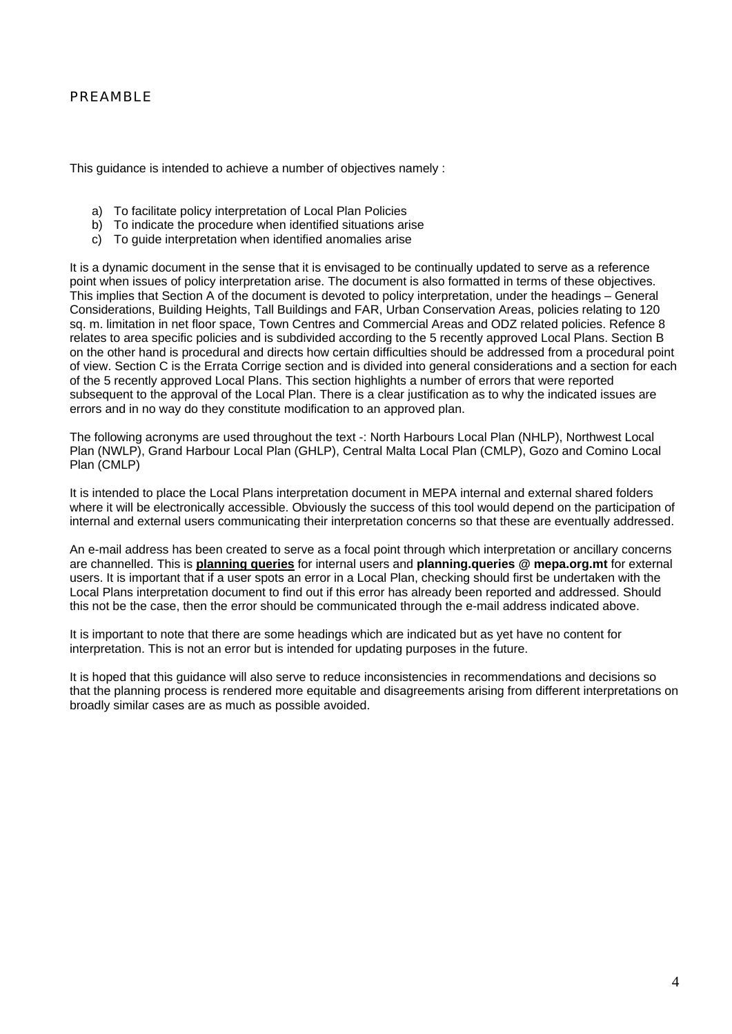#### PREAMBLE

This guidance is intended to achieve a number of objectives namely :

- a) To facilitate policy interpretation of Local Plan Policies
- b) To indicate the procedure when identified situations arise
- c) To guide interpretation when identified anomalies arise

It is a dynamic document in the sense that it is envisaged to be continually updated to serve as a reference point when issues of policy interpretation arise. The document is also formatted in terms of these objectives. This implies that Section A of the document is devoted to policy interpretation, under the headings – General Considerations, Building Heights, Tall Buildings and FAR, Urban Conservation Areas, policies relating to 120 sq. m. limitation in net floor space, Town Centres and Commercial Areas and ODZ related policies. Refence 8 relates to area specific policies and is subdivided according to the 5 recently approved Local Plans. Section B on the other hand is procedural and directs how certain difficulties should be addressed from a procedural point of view. Section C is the Errata Corrige section and is divided into general considerations and a section for each of the 5 recently approved Local Plans. This section highlights a number of errors that were reported subsequent to the approval of the Local Plan. There is a clear justification as to why the indicated issues are errors and in no way do they constitute modification to an approved plan.

The following acronyms are used throughout the text -: North Harbours Local Plan (NHLP), Northwest Local Plan (NWLP), Grand Harbour Local Plan (GHLP), Central Malta Local Plan (CMLP), Gozo and Comino Local Plan (CMLP)

It is intended to place the Local Plans interpretation document in MEPA internal and external shared folders where it will be electronically accessible. Obviously the success of this tool would depend on the participation of internal and external users communicating their interpretation concerns so that these are eventually addressed.

An e-mail address has been created to serve as a focal point through which interpretation or ancillary concerns are channelled. This is **planning queries** for internal users and **planning.queries @ mepa.org.mt** for external users. It is important that if a user spots an error in a Local Plan, checking should first be undertaken with the Local Plans interpretation document to find out if this error has already been reported and addressed. Should this not be the case, then the error should be communicated through the e-mail address indicated above.

It is important to note that there are some headings which are indicated but as yet have no content for interpretation. This is not an error but is intended for updating purposes in the future.

It is hoped that this guidance will also serve to reduce inconsistencies in recommendations and decisions so that the planning process is rendered more equitable and disagreements arising from different interpretations on broadly similar cases are as much as possible avoided.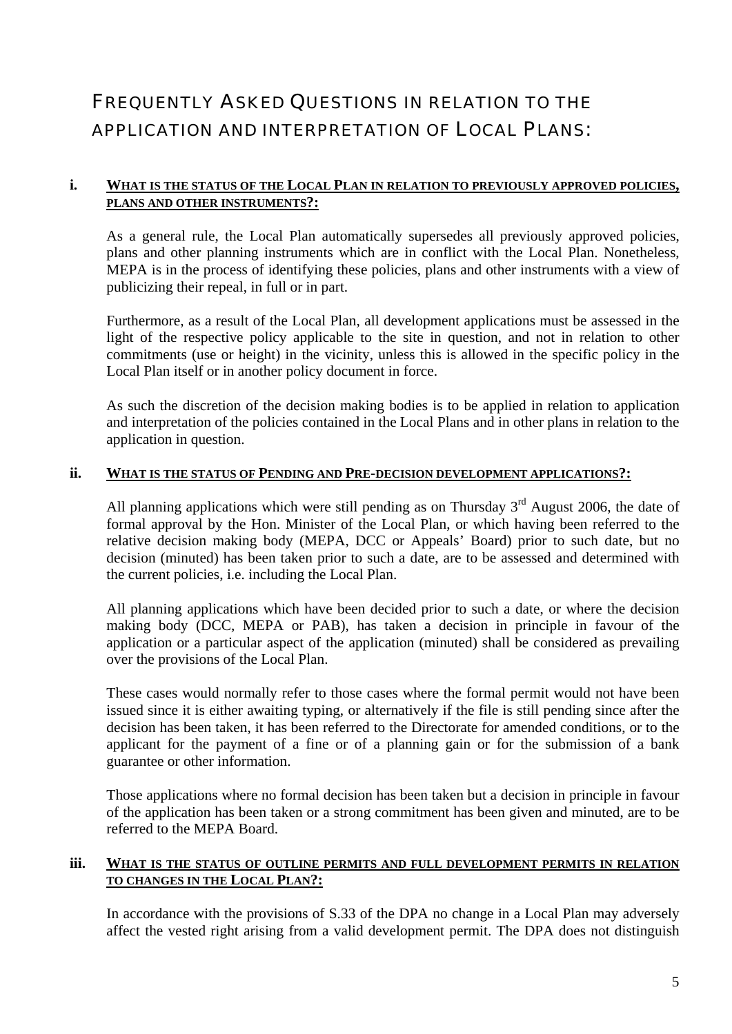### FREQUENTLY ASKED QUESTIONS IN RELATION TO THE APPLICATION AND INTERPRETATION OF LOCAL PLANS:

#### **i. WHAT IS THE STATUS OF THE LOCAL PLAN IN RELATION TO PREVIOUSLY APPROVED POLICIES, PLANS AND OTHER INSTRUMENTS?:**

As a general rule, the Local Plan automatically supersedes all previously approved policies, plans and other planning instruments which are in conflict with the Local Plan. Nonetheless, MEPA is in the process of identifying these policies, plans and other instruments with a view of publicizing their repeal, in full or in part.

Furthermore, as a result of the Local Plan, all development applications must be assessed in the light of the respective policy applicable to the site in question, and not in relation to other commitments (use or height) in the vicinity, unless this is allowed in the specific policy in the Local Plan itself or in another policy document in force.

As such the discretion of the decision making bodies is to be applied in relation to application and interpretation of the policies contained in the Local Plans and in other plans in relation to the application in question.

#### **ii. WHAT IS THE STATUS OF PENDING AND PRE-DECISION DEVELOPMENT APPLICATIONS?:**

All planning applications which were still pending as on Thursday  $3<sup>rd</sup>$  August 2006, the date of formal approval by the Hon. Minister of the Local Plan, or which having been referred to the relative decision making body (MEPA, DCC or Appeals' Board) prior to such date, but no decision (minuted) has been taken prior to such a date, are to be assessed and determined with the current policies, i.e. including the Local Plan.

All planning applications which have been decided prior to such a date, or where the decision making body (DCC, MEPA or PAB), has taken a decision in principle in favour of the application or a particular aspect of the application (minuted) shall be considered as prevailing over the provisions of the Local Plan.

These cases would normally refer to those cases where the formal permit would not have been issued since it is either awaiting typing, or alternatively if the file is still pending since after the decision has been taken, it has been referred to the Directorate for amended conditions, or to the applicant for the payment of a fine or of a planning gain or for the submission of a bank guarantee or other information.

Those applications where no formal decision has been taken but a decision in principle in favour of the application has been taken or a strong commitment has been given and minuted, are to be referred to the MEPA Board.

#### **iii. WHAT IS THE STATUS OF OUTLINE PERMITS AND FULL DEVELOPMENT PERMITS IN RELATION TO CHANGES IN THE LOCAL PLAN?:**

In accordance with the provisions of S.33 of the DPA no change in a Local Plan may adversely affect the vested right arising from a valid development permit. The DPA does not distinguish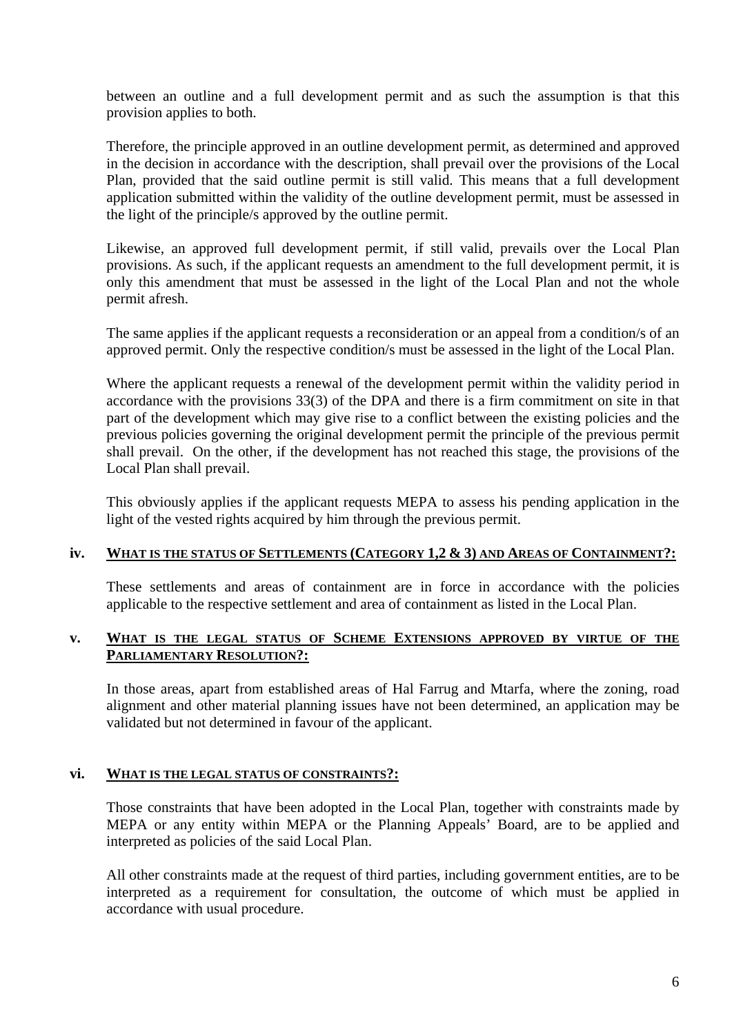between an outline and a full development permit and as such the assumption is that this provision applies to both.

Therefore, the principle approved in an outline development permit, as determined and approved in the decision in accordance with the description, shall prevail over the provisions of the Local Plan, provided that the said outline permit is still valid. This means that a full development application submitted within the validity of the outline development permit, must be assessed in the light of the principle/s approved by the outline permit.

Likewise, an approved full development permit, if still valid, prevails over the Local Plan provisions. As such, if the applicant requests an amendment to the full development permit, it is only this amendment that must be assessed in the light of the Local Plan and not the whole permit afresh.

The same applies if the applicant requests a reconsideration or an appeal from a condition/s of an approved permit. Only the respective condition/s must be assessed in the light of the Local Plan.

Where the applicant requests a renewal of the development permit within the validity period in accordance with the provisions 33(3) of the DPA and there is a firm commitment on site in that part of the development which may give rise to a conflict between the existing policies and the previous policies governing the original development permit the principle of the previous permit shall prevail. On the other, if the development has not reached this stage, the provisions of the Local Plan shall prevail.

This obviously applies if the applicant requests MEPA to assess his pending application in the light of the vested rights acquired by him through the previous permit.

#### **iv. WHAT IS THE STATUS OF SETTLEMENTS (CATEGORY 1,2 & 3) AND AREAS OF CONTAINMENT?:**

These settlements and areas of containment are in force in accordance with the policies applicable to the respective settlement and area of containment as listed in the Local Plan.

#### **v. WHAT IS THE LEGAL STATUS OF SCHEME EXTENSIONS APPROVED BY VIRTUE OF THE PARLIAMENTARY RESOLUTION?:**

In those areas, apart from established areas of Hal Farrug and Mtarfa, where the zoning, road alignment and other material planning issues have not been determined, an application may be validated but not determined in favour of the applicant.

#### **vi. WHAT IS THE LEGAL STATUS OF CONSTRAINTS?:**

Those constraints that have been adopted in the Local Plan, together with constraints made by MEPA or any entity within MEPA or the Planning Appeals' Board, are to be applied and interpreted as policies of the said Local Plan.

All other constraints made at the request of third parties, including government entities, are to be interpreted as a requirement for consultation, the outcome of which must be applied in accordance with usual procedure.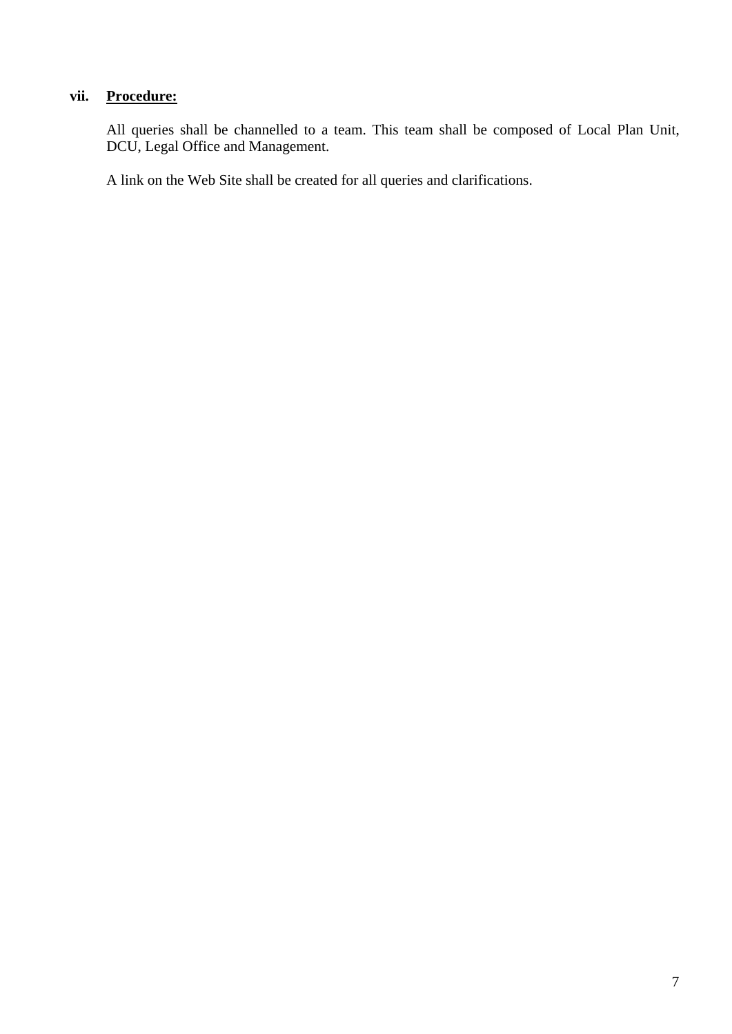#### **vii. Procedure:**

All queries shall be channelled to a team. This team shall be composed of Local Plan Unit, DCU, Legal Office and Management.

A link on the Web Site shall be created for all queries and clarifications.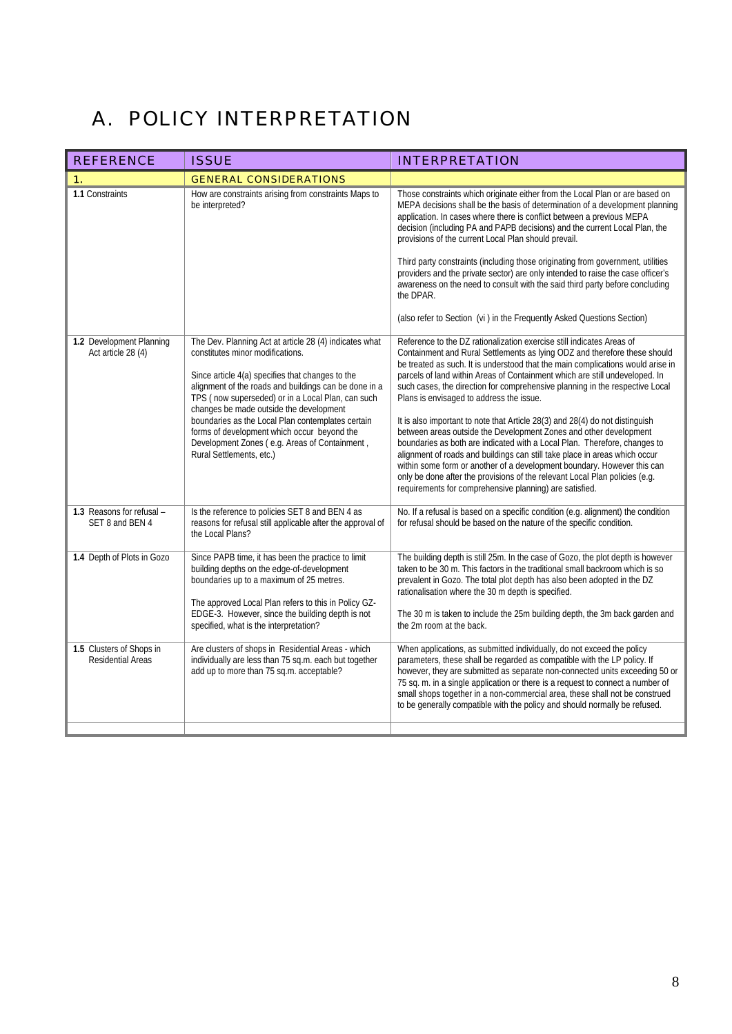## A. POLICY INTERPRETATION

| <b>REFERENCE</b>                                     | <b>ISSUE</b>                                                                                                                                                                                                                                                                                                                                                                                                                                                                             | <b>INTERPRETATION</b>                                                                                                                                                                                                                                                                                                                                                                                                                                                                                                                                                                                                                                                                                                                                                                                                                                                                                                                                                                 |
|------------------------------------------------------|------------------------------------------------------------------------------------------------------------------------------------------------------------------------------------------------------------------------------------------------------------------------------------------------------------------------------------------------------------------------------------------------------------------------------------------------------------------------------------------|---------------------------------------------------------------------------------------------------------------------------------------------------------------------------------------------------------------------------------------------------------------------------------------------------------------------------------------------------------------------------------------------------------------------------------------------------------------------------------------------------------------------------------------------------------------------------------------------------------------------------------------------------------------------------------------------------------------------------------------------------------------------------------------------------------------------------------------------------------------------------------------------------------------------------------------------------------------------------------------|
| 1.                                                   | <b>GENERAL CONSIDERATIONS</b>                                                                                                                                                                                                                                                                                                                                                                                                                                                            |                                                                                                                                                                                                                                                                                                                                                                                                                                                                                                                                                                                                                                                                                                                                                                                                                                                                                                                                                                                       |
| 1.1 Constraints                                      | How are constraints arising from constraints Maps to<br>be interpreted?                                                                                                                                                                                                                                                                                                                                                                                                                  | Those constraints which originate either from the Local Plan or are based on<br>MEPA decisions shall be the basis of determination of a development planning<br>application. In cases where there is conflict between a previous MEPA<br>decision (including PA and PAPB decisions) and the current Local Plan, the<br>provisions of the current Local Plan should prevail.<br>Third party constraints (including those originating from government, utilities<br>providers and the private sector) are only intended to raise the case officer's<br>awareness on the need to consult with the said third party before concluding<br>the DPAR.<br>(also refer to Section (vi ) in the Frequently Asked Questions Section)                                                                                                                                                                                                                                                             |
|                                                      |                                                                                                                                                                                                                                                                                                                                                                                                                                                                                          |                                                                                                                                                                                                                                                                                                                                                                                                                                                                                                                                                                                                                                                                                                                                                                                                                                                                                                                                                                                       |
| 1.2 Development Planning<br>Act article 28 (4)       | The Dev. Planning Act at article 28 (4) indicates what<br>constitutes minor modifications.<br>Since article 4(a) specifies that changes to the<br>alignment of the roads and buildings can be done in a<br>TPS (now superseded) or in a Local Plan, can such<br>changes be made outside the development<br>boundaries as the Local Plan contemplates certain<br>forms of development which occur beyond the<br>Development Zones (e.g. Areas of Containment,<br>Rural Settlements, etc.) | Reference to the DZ rationalization exercise still indicates Areas of<br>Containment and Rural Settlements as lying ODZ and therefore these should<br>be treated as such. It is understood that the main complications would arise in<br>parcels of land within Areas of Containment which are still undeveloped. In<br>such cases, the direction for comprehensive planning in the respective Local<br>Plans is envisaged to address the issue.<br>It is also important to note that Article 28(3) and 28(4) do not distinguish<br>between areas outside the Development Zones and other development<br>boundaries as both are indicated with a Local Plan. Therefore, changes to<br>alignment of roads and buildings can still take place in areas which occur<br>within some form or another of a development boundary. However this can<br>only be done after the provisions of the relevant Local Plan policies (e.g.<br>requirements for comprehensive planning) are satisfied. |
| 1.3 Reasons for refusal -<br>SET 8 and BEN 4         | Is the reference to policies SET 8 and BEN 4 as<br>reasons for refusal still applicable after the approval of<br>the Local Plans?                                                                                                                                                                                                                                                                                                                                                        | No. If a refusal is based on a specific condition (e.g. alignment) the condition<br>for refusal should be based on the nature of the specific condition.                                                                                                                                                                                                                                                                                                                                                                                                                                                                                                                                                                                                                                                                                                                                                                                                                              |
| 1.4 Depth of Plots in Gozo                           | Since PAPB time, it has been the practice to limit<br>building depths on the edge-of-development<br>boundaries up to a maximum of 25 metres.<br>The approved Local Plan refers to this in Policy GZ-<br>EDGE-3. However, since the building depth is not<br>specified, what is the interpretation?                                                                                                                                                                                       | The building depth is still 25m. In the case of Gozo, the plot depth is however<br>taken to be 30 m. This factors in the traditional small backroom which is so<br>prevalent in Gozo. The total plot depth has also been adopted in the DZ<br>rationalisation where the 30 m depth is specified.<br>The 30 m is taken to include the 25m building depth, the 3m back garden and<br>the 2m room at the back.                                                                                                                                                                                                                                                                                                                                                                                                                                                                                                                                                                           |
| 1.5 Clusters of Shops in<br><b>Residential Areas</b> | Are clusters of shops in Residential Areas - which<br>individually are less than 75 sq.m. each but together<br>add up to more than 75 sq.m. acceptable?                                                                                                                                                                                                                                                                                                                                  | When applications, as submitted individually, do not exceed the policy<br>parameters, these shall be regarded as compatible with the LP policy. If<br>however, they are submitted as separate non-connected units exceeding 50 or<br>75 sq. m. in a single application or there is a request to connect a number of<br>small shops together in a non-commercial area, these shall not be construed<br>to be generally compatible with the policy and should normally be refused.                                                                                                                                                                                                                                                                                                                                                                                                                                                                                                      |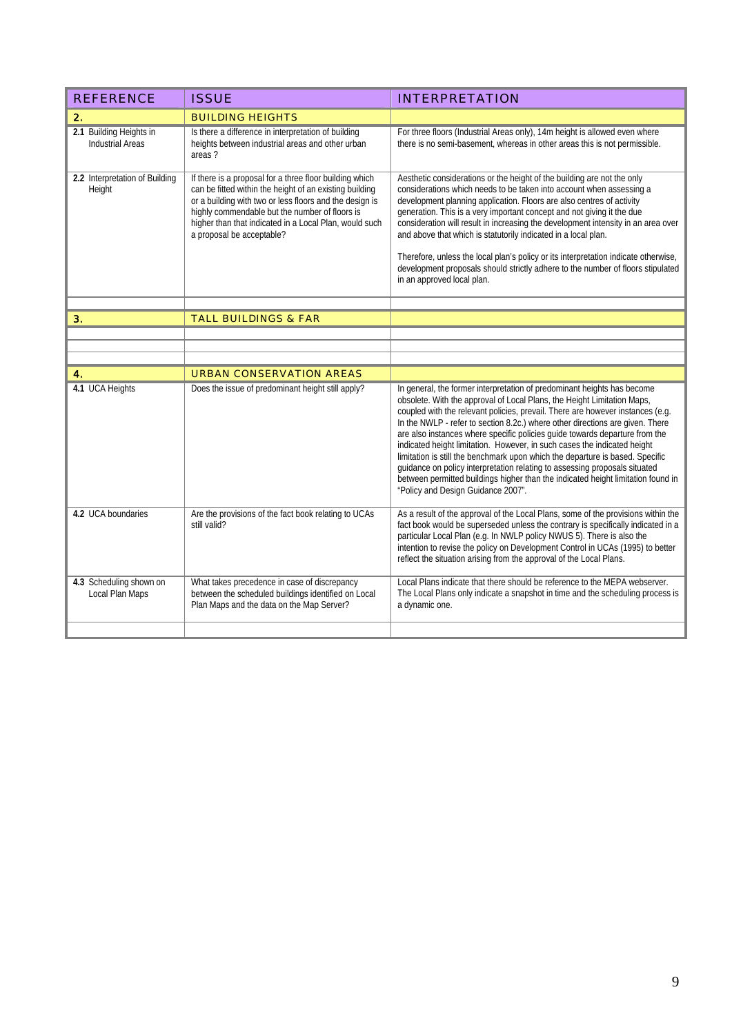| <b>REFERENCE</b>                                   | <b>ISSUE</b>                                                                                                                                                                                                                                                                                                           | <b>INTERPRETATION</b>                                                                                                                                                                                                                                                                                                                                                                                                                                                                                                                                                                                                                                                                                                                                                     |
|----------------------------------------------------|------------------------------------------------------------------------------------------------------------------------------------------------------------------------------------------------------------------------------------------------------------------------------------------------------------------------|---------------------------------------------------------------------------------------------------------------------------------------------------------------------------------------------------------------------------------------------------------------------------------------------------------------------------------------------------------------------------------------------------------------------------------------------------------------------------------------------------------------------------------------------------------------------------------------------------------------------------------------------------------------------------------------------------------------------------------------------------------------------------|
| 2.                                                 | <b>BUILDING HEIGHTS</b>                                                                                                                                                                                                                                                                                                |                                                                                                                                                                                                                                                                                                                                                                                                                                                                                                                                                                                                                                                                                                                                                                           |
| 2.1 Building Heights in<br><b>Industrial Areas</b> | Is there a difference in interpretation of building<br>heights between industrial areas and other urban<br>areas?                                                                                                                                                                                                      | For three floors (Industrial Areas only), 14m height is allowed even where<br>there is no semi-basement, whereas in other areas this is not permissible.                                                                                                                                                                                                                                                                                                                                                                                                                                                                                                                                                                                                                  |
| 2.2 Interpretation of Building<br>Height           | If there is a proposal for a three floor building which<br>can be fitted within the height of an existing building<br>or a building with two or less floors and the design is<br>highly commendable but the number of floors is<br>higher than that indicated in a Local Plan, would such<br>a proposal be acceptable? | Aesthetic considerations or the height of the building are not the only<br>considerations which needs to be taken into account when assessing a<br>development planning application. Floors are also centres of activity<br>generation. This is a very important concept and not giving it the due<br>consideration will result in increasing the development intensity in an area over<br>and above that which is statutorily indicated in a local plan.<br>Therefore, unless the local plan's policy or its interpretation indicate otherwise,<br>development proposals should strictly adhere to the number of floors stipulated<br>in an approved local plan.                                                                                                         |
|                                                    |                                                                                                                                                                                                                                                                                                                        |                                                                                                                                                                                                                                                                                                                                                                                                                                                                                                                                                                                                                                                                                                                                                                           |
| З.                                                 | <b>TALL BUILDINGS &amp; FAR</b>                                                                                                                                                                                                                                                                                        |                                                                                                                                                                                                                                                                                                                                                                                                                                                                                                                                                                                                                                                                                                                                                                           |
|                                                    |                                                                                                                                                                                                                                                                                                                        |                                                                                                                                                                                                                                                                                                                                                                                                                                                                                                                                                                                                                                                                                                                                                                           |
|                                                    |                                                                                                                                                                                                                                                                                                                        |                                                                                                                                                                                                                                                                                                                                                                                                                                                                                                                                                                                                                                                                                                                                                                           |
| 4.                                                 | <b>URBAN CONSERVATION AREAS</b>                                                                                                                                                                                                                                                                                        |                                                                                                                                                                                                                                                                                                                                                                                                                                                                                                                                                                                                                                                                                                                                                                           |
| 4.1 UCA Heights                                    | Does the issue of predominant height still apply?                                                                                                                                                                                                                                                                      | In general, the former interpretation of predominant heights has become<br>obsolete. With the approval of Local Plans, the Height Limitation Maps,<br>coupled with the relevant policies, prevail. There are however instances (e.g.<br>In the NWLP - refer to section 8.2c.) where other directions are given. There<br>are also instances where specific policies guide towards departure from the<br>indicated height limitation. However, in such cases the indicated height<br>limitation is still the benchmark upon which the departure is based. Specific<br>guidance on policy interpretation relating to assessing proposals situated<br>between permitted buildings higher than the indicated height limitation found in<br>"Policy and Design Guidance 2007". |
| 4.2 UCA boundaries                                 | Are the provisions of the fact book relating to UCAs<br>still valid?                                                                                                                                                                                                                                                   | As a result of the approval of the Local Plans, some of the provisions within the<br>fact book would be superseded unless the contrary is specifically indicated in a<br>particular Local Plan (e.g. In NWLP policy NWUS 5). There is also the<br>intention to revise the policy on Development Control in UCAs (1995) to better<br>reflect the situation arising from the approval of the Local Plans.                                                                                                                                                                                                                                                                                                                                                                   |
|                                                    |                                                                                                                                                                                                                                                                                                                        | Local Plans indicate that there should be reference to the MEPA webserver.                                                                                                                                                                                                                                                                                                                                                                                                                                                                                                                                                                                                                                                                                                |
| 4.3 Scheduling shown on<br>Local Plan Maps         | What takes precedence in case of discrepancy<br>between the scheduled buildings identified on Local<br>Plan Maps and the data on the Map Server?                                                                                                                                                                       | The Local Plans only indicate a snapshot in time and the scheduling process is<br>a dynamic one.                                                                                                                                                                                                                                                                                                                                                                                                                                                                                                                                                                                                                                                                          |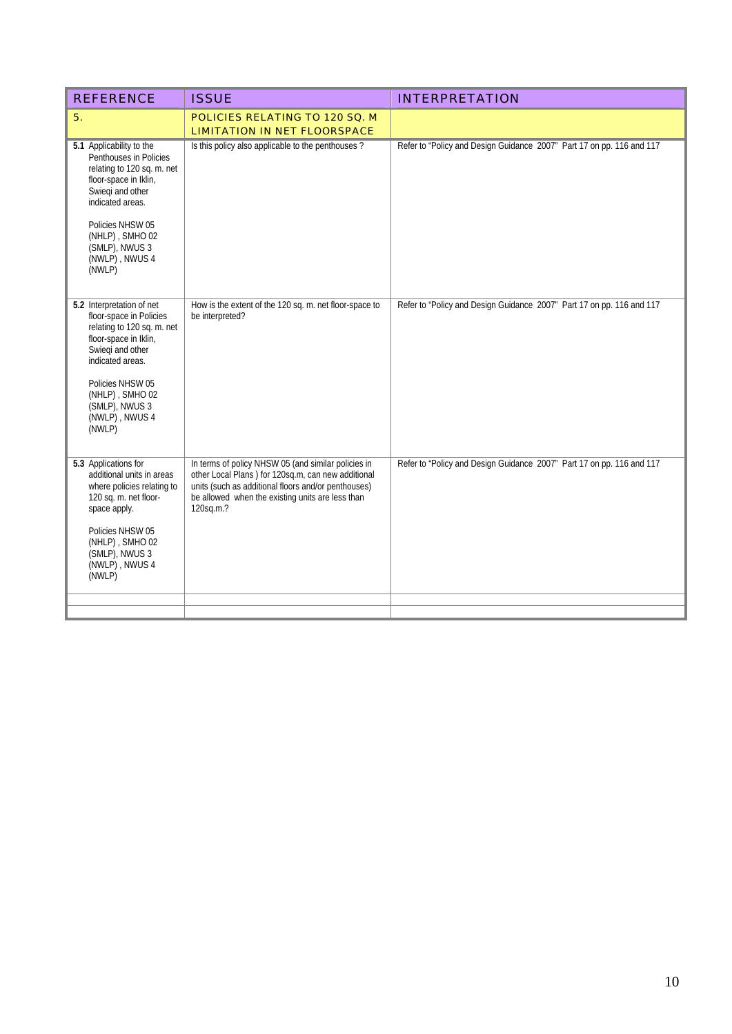| <b>REFERENCE</b>                                                                                                                                                                                                                         | <b>ISSUE</b>                                                                                                                                                                                                                      | <b>INTERPRETATION</b>                                                 |
|------------------------------------------------------------------------------------------------------------------------------------------------------------------------------------------------------------------------------------------|-----------------------------------------------------------------------------------------------------------------------------------------------------------------------------------------------------------------------------------|-----------------------------------------------------------------------|
| 5.                                                                                                                                                                                                                                       | POLICIES RELATING TO 120 SQ. M<br><b>LIMITATION IN NET FLOORSPACE</b>                                                                                                                                                             |                                                                       |
| 5.1 Applicability to the<br>Penthouses in Policies<br>relating to 120 sq. m. net<br>floor-space in Iklin,<br>Swiegi and other<br>indicated areas.<br>Policies NHSW 05<br>(NHLP), SMHO 02<br>(SMLP), NWUS 3<br>(NWLP), NWUS 4<br>(NWLP)   | Is this policy also applicable to the penthouses?                                                                                                                                                                                 | Refer to "Policy and Design Guidance 2007" Part 17 on pp. 116 and 117 |
| 5.2 Interpretation of net<br>floor-space in Policies<br>relating to 120 sq. m. net<br>floor-space in Iklin,<br>Swieqi and other<br>indicated areas.<br>Policies NHSW 05<br>(NHLP), SMHO 02<br>(SMLP), NWUS 3<br>(NWLP), NWUS 4<br>(NWLP) | How is the extent of the 120 sq. m. net floor-space to<br>be interpreted?                                                                                                                                                         | Refer to "Policy and Design Guidance 2007" Part 17 on pp. 116 and 117 |
| 5.3 Applications for<br>additional units in areas<br>where policies relating to<br>120 sq. m. net floor-<br>space apply.<br>Policies NHSW 05<br>(NHLP), SMHO 02<br>(SMLP), NWUS 3<br>(NWLP), NWUS 4<br>(NWLP)                            | In terms of policy NHSW 05 (and similar policies in<br>other Local Plans) for 120sq.m, can new additional<br>units (such as additional floors and/or penthouses)<br>be allowed when the existing units are less than<br>120sq.m.? | Refer to "Policy and Design Guidance 2007" Part 17 on pp. 116 and 117 |
|                                                                                                                                                                                                                                          |                                                                                                                                                                                                                                   |                                                                       |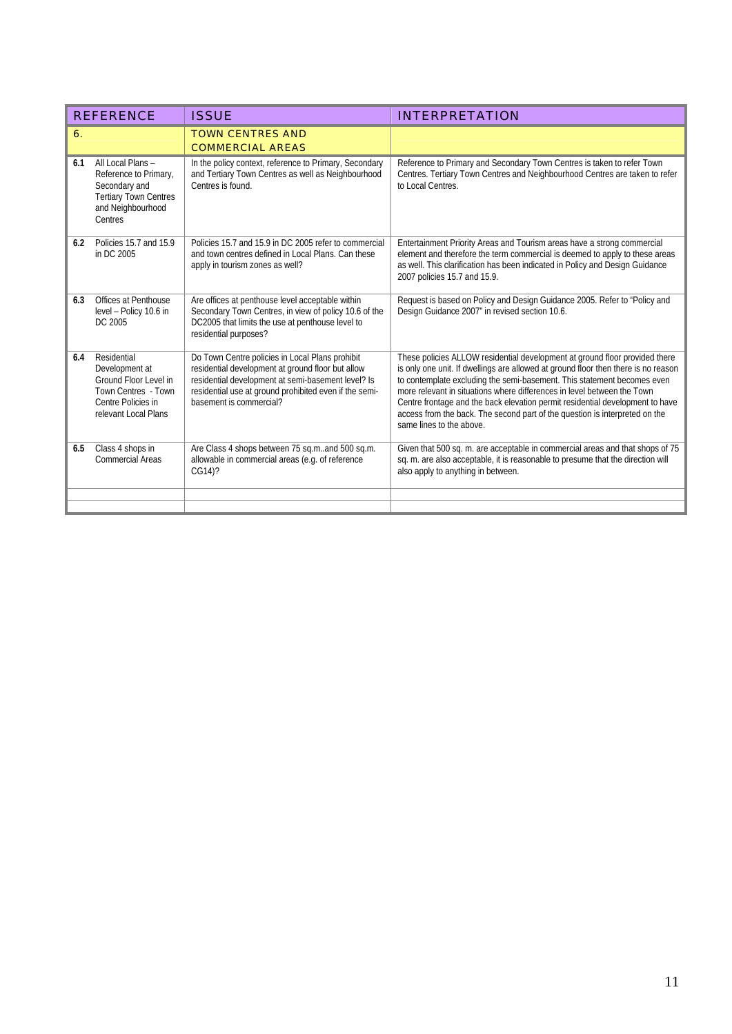|     | <b>REFERENCE</b>                                                                                                            | <b>ISSUE</b>                                                                                                                                                                                                                                    | <b>INTERPRETATION</b>                                                                                                                                                                                                                                                                                                                                                                                                                                                                                               |
|-----|-----------------------------------------------------------------------------------------------------------------------------|-------------------------------------------------------------------------------------------------------------------------------------------------------------------------------------------------------------------------------------------------|---------------------------------------------------------------------------------------------------------------------------------------------------------------------------------------------------------------------------------------------------------------------------------------------------------------------------------------------------------------------------------------------------------------------------------------------------------------------------------------------------------------------|
| 6.  |                                                                                                                             | <b>TOWN CENTRES AND</b><br><b>COMMERCIAL AREAS</b>                                                                                                                                                                                              |                                                                                                                                                                                                                                                                                                                                                                                                                                                                                                                     |
| 6.1 | All Local Plans -<br>Reference to Primary,<br>Secondary and<br><b>Tertiary Town Centres</b><br>and Neighbourhood<br>Centres | In the policy context, reference to Primary, Secondary<br>and Tertiary Town Centres as well as Neighbourhood<br>Centres is found.                                                                                                               | Reference to Primary and Secondary Town Centres is taken to refer Town<br>Centres. Tertiary Town Centres and Neighbourhood Centres are taken to refer<br>to Local Centres.                                                                                                                                                                                                                                                                                                                                          |
| 6.2 | Policies 15.7 and 15.9<br>in DC 2005                                                                                        | Policies 15.7 and 15.9 in DC 2005 refer to commercial<br>and town centres defined in Local Plans. Can these<br>apply in tourism zones as well?                                                                                                  | Entertainment Priority Areas and Tourism areas have a strong commercial<br>element and therefore the term commercial is deemed to apply to these areas<br>as well. This clarification has been indicated in Policy and Design Guidance<br>2007 policies 15.7 and 15.9.                                                                                                                                                                                                                                              |
| 6.3 | Offices at Penthouse<br>level - Policy 10.6 in<br>DC 2005                                                                   | Are offices at penthouse level acceptable within<br>Secondary Town Centres, in view of policy 10.6 of the<br>DC2005 that limits the use at penthouse level to<br>residential purposes?                                                          | Request is based on Policy and Design Guidance 2005. Refer to "Policy and<br>Design Guidance 2007" in revised section 10.6.                                                                                                                                                                                                                                                                                                                                                                                         |
| 6.4 | Residential<br>Development at<br>Ground Floor Level in<br>Town Centres - Town<br>Centre Policies in<br>relevant Local Plans | Do Town Centre policies in Local Plans prohibit<br>residential development at ground floor but allow<br>residential development at semi-basement level? Is<br>residential use at ground prohibited even if the semi-<br>basement is commercial? | These policies ALLOW residential development at ground floor provided there<br>is only one unit. If dwellings are allowed at ground floor then there is no reason<br>to contemplate excluding the semi-basement. This statement becomes even<br>more relevant in situations where differences in level between the Town<br>Centre frontage and the back elevation permit residential development to have<br>access from the back. The second part of the question is interpreted on the<br>same lines to the above. |
| 6.5 | Class 4 shops in<br><b>Commercial Areas</b>                                                                                 | Are Class 4 shops between 75 sq.mand 500 sq.m.<br>allowable in commercial areas (e.g. of reference<br>CG14)?                                                                                                                                    | Given that 500 sq. m. are acceptable in commercial areas and that shops of 75<br>sq. m. are also acceptable, it is reasonable to presume that the direction will<br>also apply to anything in between.                                                                                                                                                                                                                                                                                                              |
|     |                                                                                                                             |                                                                                                                                                                                                                                                 |                                                                                                                                                                                                                                                                                                                                                                                                                                                                                                                     |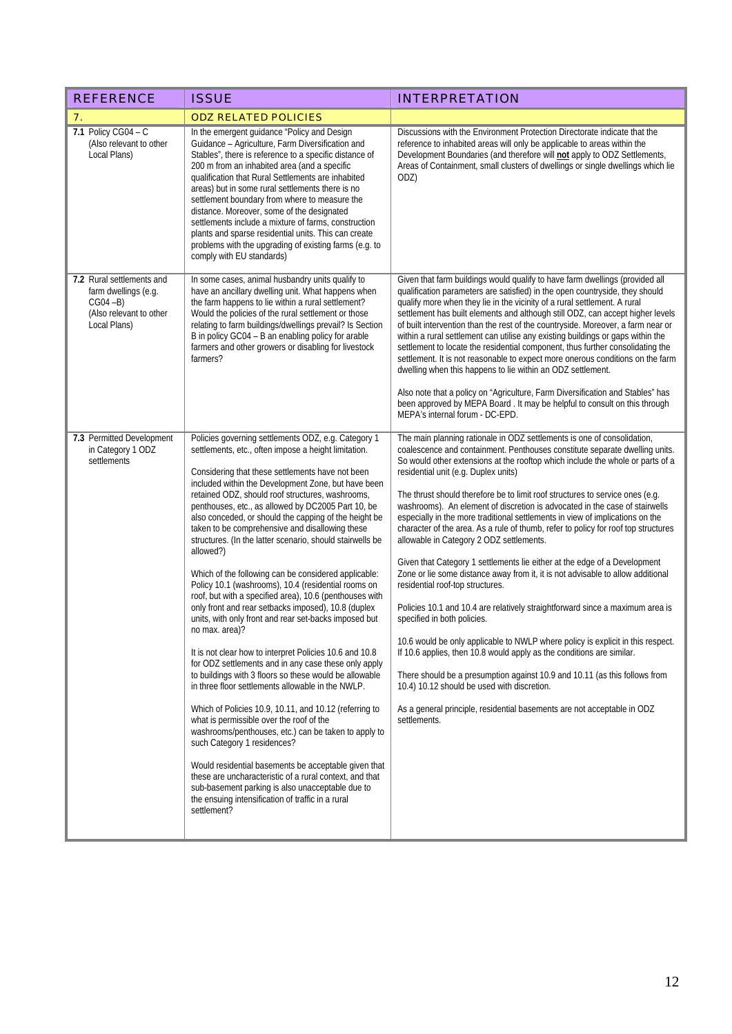| <b>REFERENCE</b>                                                                                            | <b>ISSUE</b>                                                                                                                                                                                                                                                                                                                                                                                                                                                                                                                                                                                                                                                                                                                                                                                                                                                                                                                                                                                                                                                                                                                                                                                                                                                                                                                                                                                                                                                                                                 | <b>INTERPRETATION</b>                                                                                                                                                                                                                                                                                                                                                                                                                                                                                                                                                                                                                                                                                                                                                                                                                                                                                                                                                                                                                                                                                                                                                                                                                                                                                                                                                       |
|-------------------------------------------------------------------------------------------------------------|--------------------------------------------------------------------------------------------------------------------------------------------------------------------------------------------------------------------------------------------------------------------------------------------------------------------------------------------------------------------------------------------------------------------------------------------------------------------------------------------------------------------------------------------------------------------------------------------------------------------------------------------------------------------------------------------------------------------------------------------------------------------------------------------------------------------------------------------------------------------------------------------------------------------------------------------------------------------------------------------------------------------------------------------------------------------------------------------------------------------------------------------------------------------------------------------------------------------------------------------------------------------------------------------------------------------------------------------------------------------------------------------------------------------------------------------------------------------------------------------------------------|-----------------------------------------------------------------------------------------------------------------------------------------------------------------------------------------------------------------------------------------------------------------------------------------------------------------------------------------------------------------------------------------------------------------------------------------------------------------------------------------------------------------------------------------------------------------------------------------------------------------------------------------------------------------------------------------------------------------------------------------------------------------------------------------------------------------------------------------------------------------------------------------------------------------------------------------------------------------------------------------------------------------------------------------------------------------------------------------------------------------------------------------------------------------------------------------------------------------------------------------------------------------------------------------------------------------------------------------------------------------------------|
| 7.                                                                                                          | <b>ODZ RELATED POLICIES</b>                                                                                                                                                                                                                                                                                                                                                                                                                                                                                                                                                                                                                                                                                                                                                                                                                                                                                                                                                                                                                                                                                                                                                                                                                                                                                                                                                                                                                                                                                  |                                                                                                                                                                                                                                                                                                                                                                                                                                                                                                                                                                                                                                                                                                                                                                                                                                                                                                                                                                                                                                                                                                                                                                                                                                                                                                                                                                             |
| 7.1 Policy CG04 - $C$<br>(Also relevant to other<br>Local Plans)                                            | In the emergent guidance "Policy and Design<br>Guidance - Agriculture, Farm Diversification and<br>Stables", there is reference to a specific distance of<br>200 m from an inhabited area (and a specific<br>qualification that Rural Settlements are inhabited<br>areas) but in some rural settlements there is no<br>settlement boundary from where to measure the<br>distance. Moreover, some of the designated<br>settlements include a mixture of farms, construction<br>plants and sparse residential units. This can create<br>problems with the upgrading of existing farms (e.g. to<br>comply with EU standards)                                                                                                                                                                                                                                                                                                                                                                                                                                                                                                                                                                                                                                                                                                                                                                                                                                                                                    | Discussions with the Environment Protection Directorate indicate that the<br>reference to inhabited areas will only be applicable to areas within the<br>Development Boundaries (and therefore will not apply to ODZ Settlements,<br>Areas of Containment, small clusters of dwellings or single dwellings which lie<br>ODZ)                                                                                                                                                                                                                                                                                                                                                                                                                                                                                                                                                                                                                                                                                                                                                                                                                                                                                                                                                                                                                                                |
| 7.2 Rural settlements and<br>farm dwellings (e.g.<br>$CGO4 - B)$<br>(Also relevant to other<br>Local Plans) | In some cases, animal husbandry units qualify to<br>have an ancillary dwelling unit. What happens when<br>the farm happens to lie within a rural settlement?<br>Would the policies of the rural settlement or those<br>relating to farm buildings/dwellings prevail? Is Section<br>B in policy GC04 - B an enabling policy for arable<br>farmers and other growers or disabling for livestock<br>farmers?                                                                                                                                                                                                                                                                                                                                                                                                                                                                                                                                                                                                                                                                                                                                                                                                                                                                                                                                                                                                                                                                                                    | Given that farm buildings would qualify to have farm dwellings (provided all<br>qualification parameters are satisfied) in the open countryside, they should<br>qualify more when they lie in the vicinity of a rural settlement. A rural<br>settlement has built elements and although still ODZ, can accept higher levels<br>of built intervention than the rest of the countryside. Moreover, a farm near or<br>within a rural settlement can utilise any existing buildings or gaps within the<br>settlement to locate the residential component, thus further consolidating the<br>settlement. It is not reasonable to expect more onerous conditions on the farm<br>dwelling when this happens to lie within an ODZ settlement.<br>Also note that a policy on "Agriculture, Farm Diversification and Stables" has<br>been approved by MEPA Board. It may be helpful to consult on this through<br>MEPA's internal forum - DC-EPD.                                                                                                                                                                                                                                                                                                                                                                                                                                     |
| 7.3 Permitted Development<br>in Category 1 ODZ<br>settlements                                               | Policies governing settlements ODZ, e.g. Category 1<br>settlements, etc., often impose a height limitation.<br>Considering that these settlements have not been<br>included within the Development Zone, but have been<br>retained ODZ, should roof structures, washrooms,<br>penthouses, etc., as allowed by DC2005 Part 10, be<br>also conceded, or should the capping of the height be<br>taken to be comprehensive and disallowing these<br>structures. (In the latter scenario, should stairwells be<br>allowed?)<br>Which of the following can be considered applicable:<br>Policy 10.1 (washrooms), 10.4 (residential rooms on<br>roof, but with a specified area), 10.6 (penthouses with<br>only front and rear setbacks imposed), 10.8 (duplex<br>units, with only front and rear set-backs imposed but<br>no max. area)?<br>It is not clear how to interpret Policies 10.6 and 10.8<br>for ODZ settlements and in any case these only apply<br>to buildings with 3 floors so these would be allowable<br>in three floor settlements allowable in the NWLP.<br>Which of Policies 10.9, 10.11, and 10.12 (referring to<br>what is permissible over the roof of the<br>washrooms/penthouses, etc.) can be taken to apply to<br>such Category 1 residences?<br>Would residential basements be acceptable given that<br>these are uncharacteristic of a rural context, and that<br>sub-basement parking is also unacceptable due to<br>the ensuing intensification of traffic in a rural<br>settlement? | The main planning rationale in ODZ settlements is one of consolidation,<br>coalescence and containment. Penthouses constitute separate dwelling units.<br>So would other extensions at the rooftop which include the whole or parts of a<br>residential unit (e.g. Duplex units)<br>The thrust should therefore be to limit roof structures to service ones (e.g.<br>washrooms). An element of discretion is advocated in the case of stairwells<br>especially in the more traditional settlements in view of implications on the<br>character of the area. As a rule of thumb, refer to policy for roof top structures<br>allowable in Category 2 ODZ settlements.<br>Given that Category 1 settlements lie either at the edge of a Development<br>Zone or lie some distance away from it, it is not advisable to allow additional<br>residential roof-top structures.<br>Policies 10.1 and 10.4 are relatively straightforward since a maximum area is<br>specified in both policies.<br>10.6 would be only applicable to NWLP where policy is explicit in this respect.<br>If 10.6 applies, then 10.8 would apply as the conditions are similar.<br>There should be a presumption against 10.9 and 10.11 (as this follows from<br>10.4) 10.12 should be used with discretion.<br>As a general principle, residential basements are not acceptable in ODZ<br>settlements. |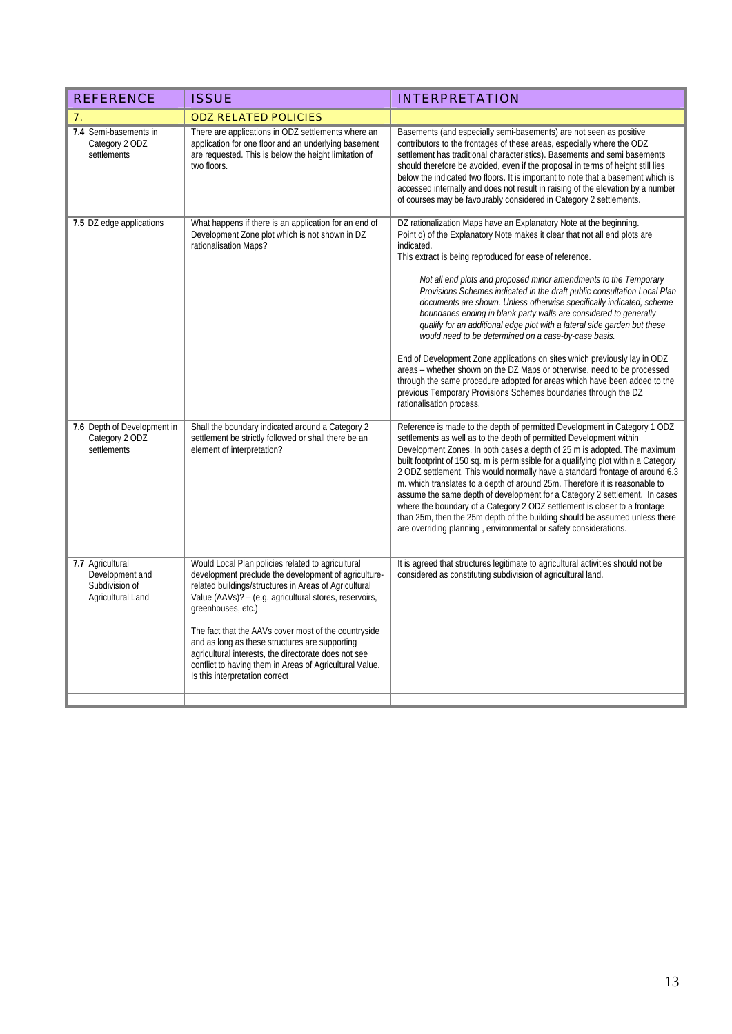| <b>REFERENCE</b>                                                           | <b>ISSUE</b>                                                                                                                                                                                                                                                                                                                                                                                                                                                                                                      | <b>INTERPRETATION</b>                                                                                                                                                                                                                                                                                                                                                                                                                                                                                                                                                                                                                                                                                                                                                                                                                                                                                                                                                                           |  |
|----------------------------------------------------------------------------|-------------------------------------------------------------------------------------------------------------------------------------------------------------------------------------------------------------------------------------------------------------------------------------------------------------------------------------------------------------------------------------------------------------------------------------------------------------------------------------------------------------------|-------------------------------------------------------------------------------------------------------------------------------------------------------------------------------------------------------------------------------------------------------------------------------------------------------------------------------------------------------------------------------------------------------------------------------------------------------------------------------------------------------------------------------------------------------------------------------------------------------------------------------------------------------------------------------------------------------------------------------------------------------------------------------------------------------------------------------------------------------------------------------------------------------------------------------------------------------------------------------------------------|--|
| $\overline{7}$ .                                                           | <b>ODZ RELATED POLICIES</b>                                                                                                                                                                                                                                                                                                                                                                                                                                                                                       |                                                                                                                                                                                                                                                                                                                                                                                                                                                                                                                                                                                                                                                                                                                                                                                                                                                                                                                                                                                                 |  |
| 7.4 Semi-basements in<br>Category 2 ODZ<br>settlements                     | There are applications in ODZ settlements where an<br>application for one floor and an underlying basement<br>are requested. This is below the height limitation of<br>two floors.                                                                                                                                                                                                                                                                                                                                | Basements (and especially semi-basements) are not seen as positive<br>contributors to the frontages of these areas, especially where the ODZ<br>settlement has traditional characteristics). Basements and semi basements<br>should therefore be avoided, even if the proposal in terms of height still lies<br>below the indicated two floors. It is important to note that a basement which is<br>accessed internally and does not result in raising of the elevation by a number<br>of courses may be favourably considered in Category 2 settlements.                                                                                                                                                                                                                                                                                                                                                                                                                                       |  |
| 7.5 DZ edge applications                                                   | What happens if there is an application for an end of<br>Development Zone plot which is not shown in DZ<br>rationalisation Maps?                                                                                                                                                                                                                                                                                                                                                                                  | DZ rationalization Maps have an Explanatory Note at the beginning.<br>Point d) of the Explanatory Note makes it clear that not all end plots are<br>indicated.<br>This extract is being reproduced for ease of reference.<br>Not all end plots and proposed minor amendments to the Temporary<br>Provisions Schemes indicated in the draft public consultation Local Plan<br>documents are shown. Unless otherwise specifically indicated, scheme<br>boundaries ending in blank party walls are considered to generally<br>qualify for an additional edge plot with a lateral side garden but these<br>would need to be determined on a case-by-case basis.<br>End of Development Zone applications on sites which previously lay in ODZ<br>areas – whether shown on the DZ Maps or otherwise, need to be processed<br>through the same procedure adopted for areas which have been added to the<br>previous Temporary Provisions Schemes boundaries through the DZ<br>rationalisation process. |  |
| 7.6 Depth of Development in<br>Category 2 ODZ<br>settlements               | Shall the boundary indicated around a Category 2<br>settlement be strictly followed or shall there be an<br>element of interpretation?                                                                                                                                                                                                                                                                                                                                                                            | Reference is made to the depth of permitted Development in Category 1 ODZ<br>settlements as well as to the depth of permitted Development within<br>Development Zones. In both cases a depth of 25 m is adopted. The maximum<br>built footprint of 150 sq. m is permissible for a qualifying plot within a Category<br>2 ODZ settlement. This would normally have a standard frontage of around 6.3<br>m. which translates to a depth of around 25m. Therefore it is reasonable to<br>assume the same depth of development for a Category 2 settlement. In cases<br>where the boundary of a Category 2 ODZ settlement is closer to a frontage<br>than 25m, then the 25m depth of the building should be assumed unless there<br>are overriding planning, environmental or safety considerations.                                                                                                                                                                                                |  |
| 7.7 Agricultural<br>Development and<br>Subdivision of<br>Agricultural Land | Would Local Plan policies related to agricultural<br>development preclude the development of agriculture-<br>related buildings/structures in Areas of Agricultural<br>Value (AAVs)? - (e.g. agricultural stores, reservoirs,<br>greenhouses, etc.)<br>The fact that the AAVs cover most of the countryside<br>and as long as these structures are supporting<br>agricultural interests, the directorate does not see<br>conflict to having them in Areas of Agricultural Value.<br>Is this interpretation correct | It is agreed that structures legitimate to agricultural activities should not be<br>considered as constituting subdivision of agricultural land.                                                                                                                                                                                                                                                                                                                                                                                                                                                                                                                                                                                                                                                                                                                                                                                                                                                |  |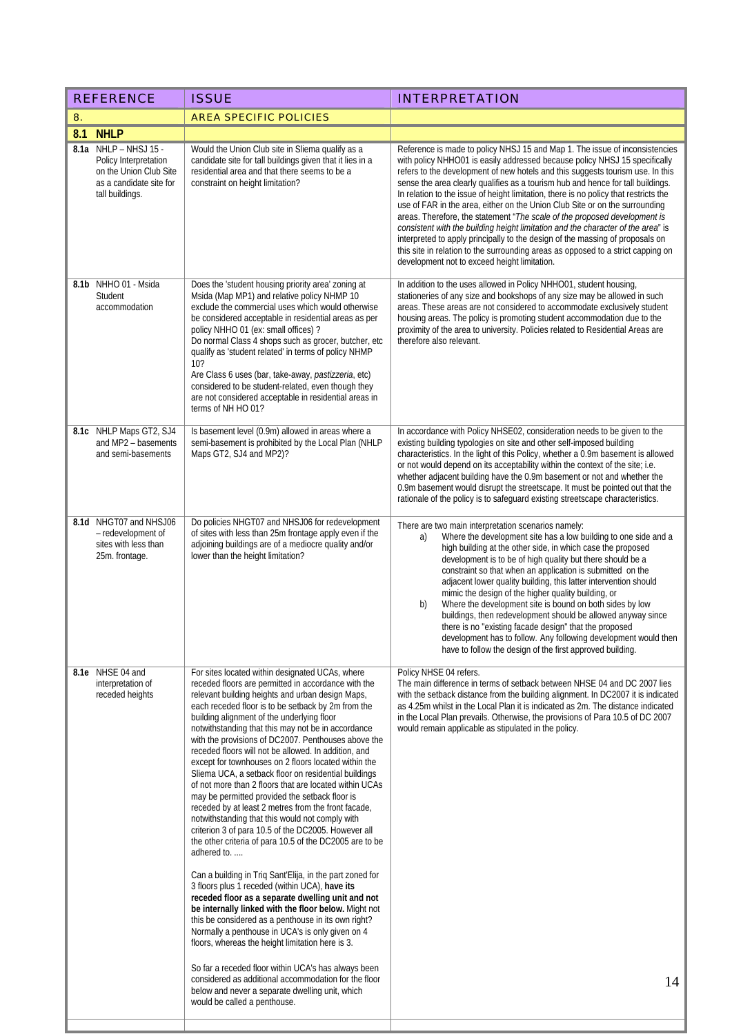| <b>REFERENCE</b>                                                                                                       | <b>ISSUE</b>                                                                                                                                                                                                                                                                                                                                                                                                                                                                                                                                                                                                                                                                                                                                                                                                                                                                                                                                                                                                                                                                                                                                                                                                                                                                                                                                                | <b>INTERPRETATION</b>                                                                                                                                                                                                                                                                                                                                                                                                                                                                                                                                                                                                                                                                                                                                                                                                                                                                       |
|------------------------------------------------------------------------------------------------------------------------|-------------------------------------------------------------------------------------------------------------------------------------------------------------------------------------------------------------------------------------------------------------------------------------------------------------------------------------------------------------------------------------------------------------------------------------------------------------------------------------------------------------------------------------------------------------------------------------------------------------------------------------------------------------------------------------------------------------------------------------------------------------------------------------------------------------------------------------------------------------------------------------------------------------------------------------------------------------------------------------------------------------------------------------------------------------------------------------------------------------------------------------------------------------------------------------------------------------------------------------------------------------------------------------------------------------------------------------------------------------|---------------------------------------------------------------------------------------------------------------------------------------------------------------------------------------------------------------------------------------------------------------------------------------------------------------------------------------------------------------------------------------------------------------------------------------------------------------------------------------------------------------------------------------------------------------------------------------------------------------------------------------------------------------------------------------------------------------------------------------------------------------------------------------------------------------------------------------------------------------------------------------------|
| 8.                                                                                                                     | <b>AREA SPECIFIC POLICIES</b>                                                                                                                                                                                                                                                                                                                                                                                                                                                                                                                                                                                                                                                                                                                                                                                                                                                                                                                                                                                                                                                                                                                                                                                                                                                                                                                               |                                                                                                                                                                                                                                                                                                                                                                                                                                                                                                                                                                                                                                                                                                                                                                                                                                                                                             |
| <b>NHLP</b><br>8.1                                                                                                     |                                                                                                                                                                                                                                                                                                                                                                                                                                                                                                                                                                                                                                                                                                                                                                                                                                                                                                                                                                                                                                                                                                                                                                                                                                                                                                                                                             |                                                                                                                                                                                                                                                                                                                                                                                                                                                                                                                                                                                                                                                                                                                                                                                                                                                                                             |
| 8.1a NHLP - NHSJ 15 -<br>Policy Interpretation<br>on the Union Club Site<br>as a candidate site for<br>tall buildings. | Would the Union Club site in Sliema qualify as a<br>candidate site for tall buildings given that it lies in a<br>residential area and that there seems to be a<br>constraint on height limitation?                                                                                                                                                                                                                                                                                                                                                                                                                                                                                                                                                                                                                                                                                                                                                                                                                                                                                                                                                                                                                                                                                                                                                          | Reference is made to policy NHSJ 15 and Map 1. The issue of inconsistencies<br>with policy NHHO01 is easily addressed because policy NHSJ 15 specifically<br>refers to the development of new hotels and this suggests tourism use. In this<br>sense the area clearly qualifies as a tourism hub and hence for tall buildings.<br>In relation to the issue of height limitation, there is no policy that restricts the<br>use of FAR in the area, either on the Union Club Site or on the surrounding<br>areas. Therefore, the statement "The scale of the proposed development is<br>consistent with the building height limitation and the character of the area" is<br>interpreted to apply principally to the design of the massing of proposals on<br>this site in relation to the surrounding areas as opposed to a strict capping on<br>development not to exceed height limitation. |
| 8.1b NHHO 01 - Msida<br>Student<br>accommodation                                                                       | Does the 'student housing priority area' zoning at<br>Msida (Map MP1) and relative policy NHMP 10<br>exclude the commercial uses which would otherwise<br>be considered acceptable in residential areas as per<br>policy NHHO 01 (ex: small offices) ?<br>Do normal Class 4 shops such as grocer, butcher, etc<br>qualify as 'student related' in terms of policy NHMP<br>10 <sup>2</sup><br>Are Class 6 uses (bar, take-away, pastizzeria, etc)<br>considered to be student-related, even though they<br>are not considered acceptable in residential areas in<br>terms of NH HO 01?                                                                                                                                                                                                                                                                                                                                                                                                                                                                                                                                                                                                                                                                                                                                                                       | In addition to the uses allowed in Policy NHHO01, student housing,<br>stationeries of any size and bookshops of any size may be allowed in such<br>areas. These areas are not considered to accommodate exclusively student<br>housing areas. The policy is promoting student accommodation due to the<br>proximity of the area to university. Policies related to Residential Areas are<br>therefore also relevant.                                                                                                                                                                                                                                                                                                                                                                                                                                                                        |
| 8.1c NHLP Maps GT2, SJ4<br>and MP2 - basements<br>and semi-basements                                                   | Is basement level (0.9m) allowed in areas where a<br>semi-basement is prohibited by the Local Plan (NHLP<br>Maps GT2, SJ4 and MP2)?                                                                                                                                                                                                                                                                                                                                                                                                                                                                                                                                                                                                                                                                                                                                                                                                                                                                                                                                                                                                                                                                                                                                                                                                                         | In accordance with Policy NHSE02, consideration needs to be given to the<br>existing building typologies on site and other self-imposed building<br>characteristics. In the light of this Policy, whether a 0.9m basement is allowed<br>or not would depend on its acceptability within the context of the site; i.e.<br>whether adjacent building have the 0.9m basement or not and whether the<br>0.9m basement would disrupt the streetscape. It must be pointed out that the<br>rationale of the policy is to safeguard existing streetscape characteristics.                                                                                                                                                                                                                                                                                                                           |
| 8.1d NHGT07 and NHSJ06<br>- redevelopment of<br>sites with less than<br>25m. frontage.                                 | Do policies NHGT07 and NHSJ06 for redevelopment<br>of sites with less than 25m frontage apply even if the<br>adjoining buildings are of a mediocre quality and/or<br>lower than the height limitation?                                                                                                                                                                                                                                                                                                                                                                                                                                                                                                                                                                                                                                                                                                                                                                                                                                                                                                                                                                                                                                                                                                                                                      | There are two main interpretation scenarios namely:<br>Where the development site has a low building to one side and a<br>a)<br>high building at the other side, in which case the proposed<br>development is to be of high quality but there should be a<br>constraint so that when an application is submitted on the<br>adjacent lower quality building, this latter intervention should<br>mimic the design of the higher quality building, or<br>Where the development site is bound on both sides by low<br>b)<br>buildings, then redevelopment should be allowed anyway since<br>there is no "existing facade design" that the proposed<br>development has to follow. Any following development would then<br>have to follow the design of the first approved building.                                                                                                              |
| 8.1e NHSE 04 and<br>interpretation of<br>receded heights                                                               | For sites located within designated UCAs, where<br>receded floors are permitted in accordance with the<br>relevant building heights and urban design Maps,<br>each receded floor is to be setback by 2m from the<br>building alignment of the underlying floor<br>notwithstanding that this may not be in accordance<br>with the provisions of DC2007. Penthouses above the<br>receded floors will not be allowed. In addition, and<br>except for townhouses on 2 floors located within the<br>Sliema UCA, a setback floor on residential buildings<br>of not more than 2 floors that are located within UCAs<br>may be permitted provided the setback floor is<br>receded by at least 2 metres from the front facade,<br>notwithstanding that this would not comply with<br>criterion 3 of para 10.5 of the DC2005. However all<br>the other criteria of para 10.5 of the DC2005 are to be<br>adhered to.<br>Can a building in Triq Sant'Elija, in the part zoned for<br>3 floors plus 1 receded (within UCA), have its<br>receded floor as a separate dwelling unit and not<br>be internally linked with the floor below. Might not<br>this be considered as a penthouse in its own right?<br>Normally a penthouse in UCA's is only given on 4<br>floors, whereas the height limitation here is 3.<br>So far a receded floor within UCA's has always been | Policy NHSE 04 refers.<br>The main difference in terms of setback between NHSE 04 and DC 2007 lies<br>with the setback distance from the building alignment. In DC2007 it is indicated<br>as 4.25m whilst in the Local Plan it is indicated as 2m. The distance indicated<br>in the Local Plan prevails. Otherwise, the provisions of Para 10.5 of DC 2007<br>would remain applicable as stipulated in the policy.                                                                                                                                                                                                                                                                                                                                                                                                                                                                          |
|                                                                                                                        | considered as additional accommodation for the floor<br>below and never a separate dwelling unit, which<br>would be called a penthouse.                                                                                                                                                                                                                                                                                                                                                                                                                                                                                                                                                                                                                                                                                                                                                                                                                                                                                                                                                                                                                                                                                                                                                                                                                     | 14                                                                                                                                                                                                                                                                                                                                                                                                                                                                                                                                                                                                                                                                                                                                                                                                                                                                                          |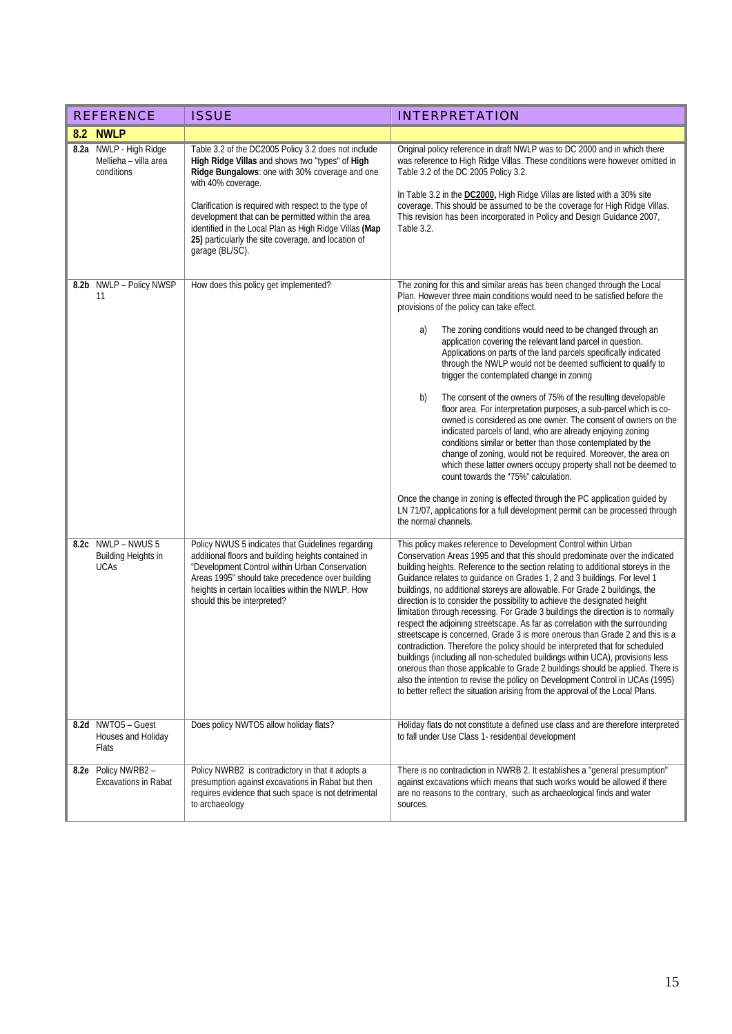| <b>REFERENCE</b>                                                | <b>ISSUE</b>                                                                                                                                                                                                                                                                                                                                                                                                                     | <b>INTERPRETATION</b>                                                                                                                                                                                                                                                                                                                                                                                                                                                                                                                                                                                                                                                                                                                                                                                                                                                                                                                                                                                                                                                                                                                                                                                                                  |
|-----------------------------------------------------------------|----------------------------------------------------------------------------------------------------------------------------------------------------------------------------------------------------------------------------------------------------------------------------------------------------------------------------------------------------------------------------------------------------------------------------------|----------------------------------------------------------------------------------------------------------------------------------------------------------------------------------------------------------------------------------------------------------------------------------------------------------------------------------------------------------------------------------------------------------------------------------------------------------------------------------------------------------------------------------------------------------------------------------------------------------------------------------------------------------------------------------------------------------------------------------------------------------------------------------------------------------------------------------------------------------------------------------------------------------------------------------------------------------------------------------------------------------------------------------------------------------------------------------------------------------------------------------------------------------------------------------------------------------------------------------------|
| 8.2 NWLP                                                        |                                                                                                                                                                                                                                                                                                                                                                                                                                  |                                                                                                                                                                                                                                                                                                                                                                                                                                                                                                                                                                                                                                                                                                                                                                                                                                                                                                                                                                                                                                                                                                                                                                                                                                        |
| 8.2a NWLP - High Ridge<br>Mellieha - villa area<br>conditions   | Table 3.2 of the DC2005 Policy 3.2 does not include<br>High Ridge Villas and shows two "types" of High<br>Ridge Bungalows: one with 30% coverage and one<br>with 40% coverage.<br>Clarification is required with respect to the type of<br>development that can be permitted within the area<br>identified in the Local Plan as High Ridge Villas (Map<br>25) particularly the site coverage, and location of<br>garage (BL/SC). | Original policy reference in draft NWLP was to DC 2000 and in which there<br>was reference to High Ridge Villas. These conditions were however omitted in<br>Table 3.2 of the DC 2005 Policy 3.2.<br>In Table 3.2 in the DC2000, High Ridge Villas are listed with a 30% site<br>coverage. This should be assumed to be the coverage for High Ridge Villas.<br>This revision has been incorporated in Policy and Design Guidance 2007,<br>Table 3.2.                                                                                                                                                                                                                                                                                                                                                                                                                                                                                                                                                                                                                                                                                                                                                                                   |
| 8.2b NWLP - Policy NWSP<br>11                                   | How does this policy get implemented?                                                                                                                                                                                                                                                                                                                                                                                            | The zoning for this and similar areas has been changed through the Local<br>Plan. However three main conditions would need to be satisfied before the<br>provisions of the policy can take effect.<br>The zoning conditions would need to be changed through an<br>a)<br>application covering the relevant land parcel in question.<br>Applications on parts of the land parcels specifically indicated<br>through the NWLP would not be deemed sufficient to qualify to<br>trigger the contemplated change in zoning<br>The consent of the owners of 75% of the resulting developable<br>b)<br>floor area. For interpretation purposes, a sub-parcel which is co-<br>owned is considered as one owner. The consent of owners on the<br>indicated parcels of land, who are already enjoying zoning<br>conditions similar or better than those contemplated by the<br>change of zoning, would not be required. Moreover, the area on<br>which these latter owners occupy property shall not be deemed to<br>count towards the "75%" calculation.<br>Once the change in zoning is effected through the PC application guided by<br>LN 71/07, applications for a full development permit can be processed through<br>the normal channels. |
| 8.2c NWLP - NWUS 5<br><b>Building Heights in</b><br><b>UCAs</b> | Policy NWUS 5 indicates that Guidelines regarding<br>additional floors and building heights contained in<br>"Development Control within Urban Conservation<br>Areas 1995" should take precedence over building<br>heights in certain localities within the NWLP. How<br>should this be interpreted?                                                                                                                              | This policy makes reference to Development Control within Urban<br>Conservation Areas 1995 and that this should predominate over the indicated<br>building heights. Reference to the section relating to additional storeys in the<br>Guidance relates to quidance on Grades 1, 2 and 3 buildings. For level 1<br>buildings, no additional storeys are allowable. For Grade 2 buildings, the<br>direction is to consider the possibility to achieve the designated height<br>limitation through recessing. For Grade 3 buildings the direction is to normally<br>respect the adjoining streetscape. As far as correlation with the surrounding<br>streetscape is concerned, Grade 3 is more onerous than Grade 2 and this is a<br>contradiction. Therefore the policy should be interpreted that for scheduled<br>buildings (including all non-scheduled buildings within UCA), provisions less<br>onerous than those applicable to Grade 2 buildings should be applied. There is<br>also the intention to revise the policy on Development Control in UCAs (1995)<br>to better reflect the situation arising from the approval of the Local Plans.                                                                                    |
| 8.2d NWTO5 - Guest<br>Houses and Holiday<br>Flats               | Does policy NWTO5 allow holiday flats?                                                                                                                                                                                                                                                                                                                                                                                           | Holiday flats do not constitute a defined use class and are therefore interpreted<br>to fall under Use Class 1- residential development                                                                                                                                                                                                                                                                                                                                                                                                                                                                                                                                                                                                                                                                                                                                                                                                                                                                                                                                                                                                                                                                                                |
| 8.2e Policy NWRB2-<br><b>Excavations in Rabat</b>               | Policy NWRB2 is contradictory in that it adopts a<br>presumption against excavations in Rabat but then<br>requires evidence that such space is not detrimental<br>to archaeology                                                                                                                                                                                                                                                 | There is no contradiction in NWRB 2. It establishes a "general presumption"<br>against excavations which means that such works would be allowed if there<br>are no reasons to the contrary, such as archaeological finds and water<br>sources.                                                                                                                                                                                                                                                                                                                                                                                                                                                                                                                                                                                                                                                                                                                                                                                                                                                                                                                                                                                         |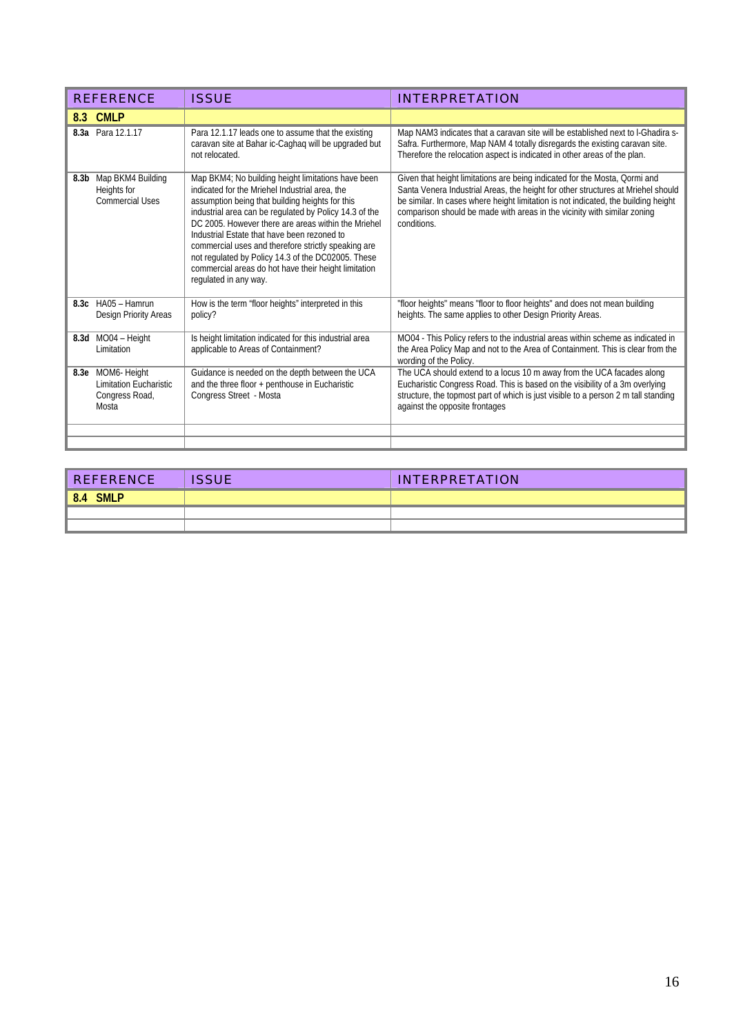| <b>REFERENCE</b>                                                               | <b>ISSUE</b>                                                                                                                                                                                                                                                                                                                                                                                                                                                                                                          | <b>INTERPRETATION</b>                                                                                                                                                                                                                                                                                                                           |
|--------------------------------------------------------------------------------|-----------------------------------------------------------------------------------------------------------------------------------------------------------------------------------------------------------------------------------------------------------------------------------------------------------------------------------------------------------------------------------------------------------------------------------------------------------------------------------------------------------------------|-------------------------------------------------------------------------------------------------------------------------------------------------------------------------------------------------------------------------------------------------------------------------------------------------------------------------------------------------|
| 8.3 CMLP                                                                       |                                                                                                                                                                                                                                                                                                                                                                                                                                                                                                                       |                                                                                                                                                                                                                                                                                                                                                 |
| 8.3a Para 12.1.17                                                              | Para 12.1.17 leads one to assume that the existing<br>caravan site at Bahar ic-Caghag will be upgraded but<br>not relocated.                                                                                                                                                                                                                                                                                                                                                                                          | Map NAM3 indicates that a caravan site will be established next to I-Ghadira s-<br>Safra. Furthermore, Map NAM 4 totally disregards the existing caravan site.<br>Therefore the relocation aspect is indicated in other areas of the plan.                                                                                                      |
| Map BKM4 Building<br>8.3 <sub>b</sub><br>Heights for<br><b>Commercial Uses</b> | Map BKM4; No building height limitations have been<br>indicated for the Mriehel Industrial area, the<br>assumption being that building heights for this<br>industrial area can be regulated by Policy 14.3 of the<br>DC 2005. However there are areas within the Mriehel<br>Industrial Estate that have been rezoned to<br>commercial uses and therefore strictly speaking are<br>not regulated by Policy 14.3 of the DC02005. These<br>commercial areas do hot have their height limitation<br>requlated in any way. | Given that height limitations are being indicated for the Mosta, Qormi and<br>Santa Venera Industrial Areas, the height for other structures at Mriehel should<br>be similar. In cases where height limitation is not indicated, the building height<br>comparison should be made with areas in the vicinity with similar zoning<br>conditions. |
| 8.3c HA05 - Hamrun<br><b>Design Priority Areas</b>                             | How is the term "floor heights" interpreted in this<br>policy?                                                                                                                                                                                                                                                                                                                                                                                                                                                        | "floor heights" means "floor to floor heights" and does not mean building<br>heights. The same applies to other Design Priority Areas.                                                                                                                                                                                                          |
| 8.3d MO04 - Height<br>Limitation                                               | Is height limitation indicated for this industrial area<br>applicable to Areas of Containment?                                                                                                                                                                                                                                                                                                                                                                                                                        | MO04 - This Policy refers to the industrial areas within scheme as indicated in<br>the Area Policy Map and not to the Area of Containment. This is clear from the<br>wording of the Policy.                                                                                                                                                     |
| 8.3e MOM6-Height<br><b>Limitation Eucharistic</b><br>Congress Road,<br>Mosta   | Guidance is needed on the depth between the UCA<br>and the three floor + penthouse in Eucharistic<br>Congress Street - Mosta                                                                                                                                                                                                                                                                                                                                                                                          | The UCA should extend to a locus 10 m away from the UCA facades along<br>Eucharistic Congress Road. This is based on the visibility of a 3m overlying<br>structure, the topmost part of which is just visible to a person 2 m tall standing<br>against the opposite frontages                                                                   |

| <b>REFERENCE</b>   | <b>ISSUE</b> | <b>INTERPRETATION</b> |
|--------------------|--------------|-----------------------|
| 8.4<br><b>SMLP</b> |              |                       |
|                    |              |                       |
|                    |              |                       |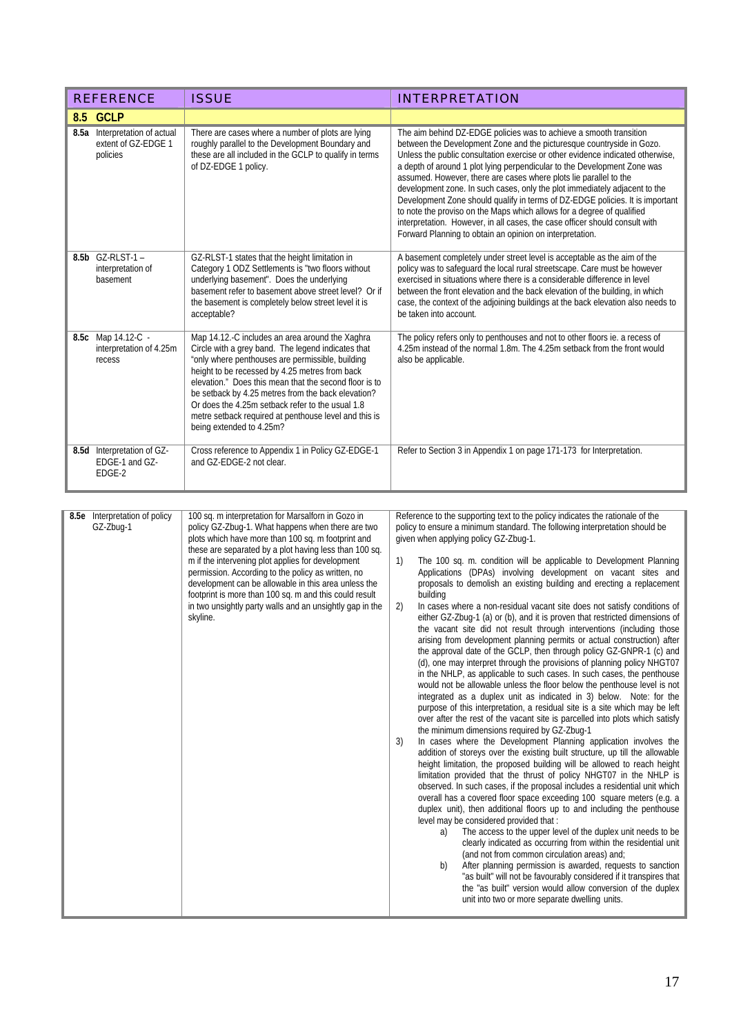|          | <b>REFERENCE</b>                                                 | <b>ISSUE</b>                                                                                                                                                                                                                                                                                                                                                                                                                                                                                                                 | <b>INTERPRETATION</b>                                                                                                                                                                                                                                                                                                                                                                                                                                                                                                                                                                                                                                                                                                                                                                                                                                                                                                                                                                                                                                                                                                                                                                                                                                                                                                                                                                                                                                                                                                                                                                                                                                                                                                                                                                                                                                                                                                                                                                                                                                                                                                                                                                                                                                                                                                                                                                                    |
|----------|------------------------------------------------------------------|------------------------------------------------------------------------------------------------------------------------------------------------------------------------------------------------------------------------------------------------------------------------------------------------------------------------------------------------------------------------------------------------------------------------------------------------------------------------------------------------------------------------------|----------------------------------------------------------------------------------------------------------------------------------------------------------------------------------------------------------------------------------------------------------------------------------------------------------------------------------------------------------------------------------------------------------------------------------------------------------------------------------------------------------------------------------------------------------------------------------------------------------------------------------------------------------------------------------------------------------------------------------------------------------------------------------------------------------------------------------------------------------------------------------------------------------------------------------------------------------------------------------------------------------------------------------------------------------------------------------------------------------------------------------------------------------------------------------------------------------------------------------------------------------------------------------------------------------------------------------------------------------------------------------------------------------------------------------------------------------------------------------------------------------------------------------------------------------------------------------------------------------------------------------------------------------------------------------------------------------------------------------------------------------------------------------------------------------------------------------------------------------------------------------------------------------------------------------------------------------------------------------------------------------------------------------------------------------------------------------------------------------------------------------------------------------------------------------------------------------------------------------------------------------------------------------------------------------------------------------------------------------------------------------------------------------|
| 8.5 GCLP |                                                                  |                                                                                                                                                                                                                                                                                                                                                                                                                                                                                                                              |                                                                                                                                                                                                                                                                                                                                                                                                                                                                                                                                                                                                                                                                                                                                                                                                                                                                                                                                                                                                                                                                                                                                                                                                                                                                                                                                                                                                                                                                                                                                                                                                                                                                                                                                                                                                                                                                                                                                                                                                                                                                                                                                                                                                                                                                                                                                                                                                          |
|          | 8.5a Interpretation of actual<br>extent of GZ-EDGE 1<br>policies | There are cases where a number of plots are lying<br>roughly parallel to the Development Boundary and<br>these are all included in the GCLP to qualify in terms<br>of DZ-EDGE 1 policy.                                                                                                                                                                                                                                                                                                                                      | The aim behind DZ-EDGE policies was to achieve a smooth transition<br>between the Development Zone and the picturesque countryside in Gozo.<br>Unless the public consultation exercise or other evidence indicated otherwise,<br>a depth of around 1 plot lying perpendicular to the Development Zone was<br>assumed. However, there are cases where plots lie parallel to the<br>development zone. In such cases, only the plot immediately adjacent to the<br>Development Zone should qualify in terms of DZ-EDGE policies. It is important<br>to note the proviso on the Maps which allows for a degree of qualified<br>interpretation. However, in all cases, the case officer should consult with<br>Forward Planning to obtain an opinion on interpretation.                                                                                                                                                                                                                                                                                                                                                                                                                                                                                                                                                                                                                                                                                                                                                                                                                                                                                                                                                                                                                                                                                                                                                                                                                                                                                                                                                                                                                                                                                                                                                                                                                                       |
|          | 8.5b GZ-RLST-1-<br>interpretation of<br>basement                 | GZ-RLST-1 states that the height limitation in<br>Category 1 ODZ Settlements is "two floors without<br>underlying basement". Does the underlying<br>basement refer to basement above street level? Or if<br>the basement is completely below street level it is<br>acceptable?                                                                                                                                                                                                                                               | A basement completely under street level is acceptable as the aim of the<br>policy was to safeguard the local rural streetscape. Care must be however<br>exercised in situations where there is a considerable difference in level<br>between the front elevation and the back elevation of the building, in which<br>case, the context of the adjoining buildings at the back elevation also needs to<br>be taken into account.                                                                                                                                                                                                                                                                                                                                                                                                                                                                                                                                                                                                                                                                                                                                                                                                                                                                                                                                                                                                                                                                                                                                                                                                                                                                                                                                                                                                                                                                                                                                                                                                                                                                                                                                                                                                                                                                                                                                                                         |
|          | 8.5c Map 14.12-C -<br>interpretation of 4.25m<br>recess          | Map 14.12.-C includes an area around the Xaghra<br>Circle with a grey band. The legend indicates that<br>"only where penthouses are permissible, building<br>height to be recessed by 4.25 metres from back<br>elevation." Does this mean that the second floor is to<br>be setback by 4.25 metres from the back elevation?<br>Or does the 4.25m setback refer to the usual 1.8<br>metre setback required at penthouse level and this is<br>being extended to 4.25m?                                                         | The policy refers only to penthouses and not to other floors ie. a recess of<br>4.25m instead of the normal 1.8m. The 4.25m setback from the front would<br>also be applicable.                                                                                                                                                                                                                                                                                                                                                                                                                                                                                                                                                                                                                                                                                                                                                                                                                                                                                                                                                                                                                                                                                                                                                                                                                                                                                                                                                                                                                                                                                                                                                                                                                                                                                                                                                                                                                                                                                                                                                                                                                                                                                                                                                                                                                          |
|          | 8.5d Interpretation of GZ-<br>EDGE-1 and GZ-<br>EDGE-2           | Cross reference to Appendix 1 in Policy GZ-EDGE-1<br>and GZ-EDGE-2 not clear.                                                                                                                                                                                                                                                                                                                                                                                                                                                | Refer to Section 3 in Appendix 1 on page 171-173 for Interpretation.                                                                                                                                                                                                                                                                                                                                                                                                                                                                                                                                                                                                                                                                                                                                                                                                                                                                                                                                                                                                                                                                                                                                                                                                                                                                                                                                                                                                                                                                                                                                                                                                                                                                                                                                                                                                                                                                                                                                                                                                                                                                                                                                                                                                                                                                                                                                     |
|          |                                                                  |                                                                                                                                                                                                                                                                                                                                                                                                                                                                                                                              |                                                                                                                                                                                                                                                                                                                                                                                                                                                                                                                                                                                                                                                                                                                                                                                                                                                                                                                                                                                                                                                                                                                                                                                                                                                                                                                                                                                                                                                                                                                                                                                                                                                                                                                                                                                                                                                                                                                                                                                                                                                                                                                                                                                                                                                                                                                                                                                                          |
|          | 8.5e Interpretation of policy<br>GZ-Zbug-1                       | 100 sq. m interpretation for Marsalforn in Gozo in<br>policy GZ-Zbug-1. What happens when there are two<br>plots which have more than 100 sq. m footprint and<br>these are separated by a plot having less than 100 sq.<br>m if the intervening plot applies for development<br>permission. According to the policy as written, no<br>development can be allowable in this area unless the<br>footprint is more than 100 sq. m and this could result<br>in two unsightly party walls and an unsightly gap in the<br>skyline. | Reference to the supporting text to the policy indicates the rationale of the<br>policy to ensure a minimum standard. The following interpretation should be<br>given when applying policy GZ-Zbug-1.<br>1)<br>The 100 sq. m. condition will be applicable to Development Planning<br>Applications (DPAs) involving development on vacant sites and<br>proposals to demolish an existing building and erecting a replacement<br>building<br>In cases where a non-residual vacant site does not satisfy conditions of<br>2)<br>either GZ-Zbug-1 (a) or (b), and it is proven that restricted dimensions of<br>the vacant site did not result through interventions (including those<br>arising from development planning permits or actual construction) after<br>the approval date of the GCLP, then through policy GZ-GNPR-1 (c) and<br>(d), one may interpret through the provisions of planning policy NHGT07<br>in the NHLP, as applicable to such cases. In such cases, the penthouse<br>would not be allowable unless the floor below the penthouse level is not<br>integrated as a duplex unit as indicated in 3) below. Note: for the<br>purpose of this interpretation, a residual site is a site which may be left<br>over after the rest of the vacant site is parcelled into plots which satisfy<br>the minimum dimensions required by GZ-Zbug-1<br>In cases where the Development Planning application involves the<br>3)<br>addition of storeys over the existing built structure, up till the allowable<br>height limitation, the proposed building will be allowed to reach height<br>limitation provided that the thrust of policy NHGT07 in the NHLP is<br>observed. In such cases, if the proposal includes a residential unit which<br>overall has a covered floor space exceeding 100 square meters (e.g. a<br>duplex unit), then additional floors up to and including the penthouse<br>level may be considered provided that:<br>The access to the upper level of the duplex unit needs to be<br>a)<br>clearly indicated as occurring from within the residential unit<br>(and not from common circulation areas) and;<br>After planning permission is awarded, requests to sanction<br>b)<br>"as built" will not be favourably considered if it transpires that<br>the "as built" version would allow conversion of the duplex<br>unit into two or more separate dwelling units. |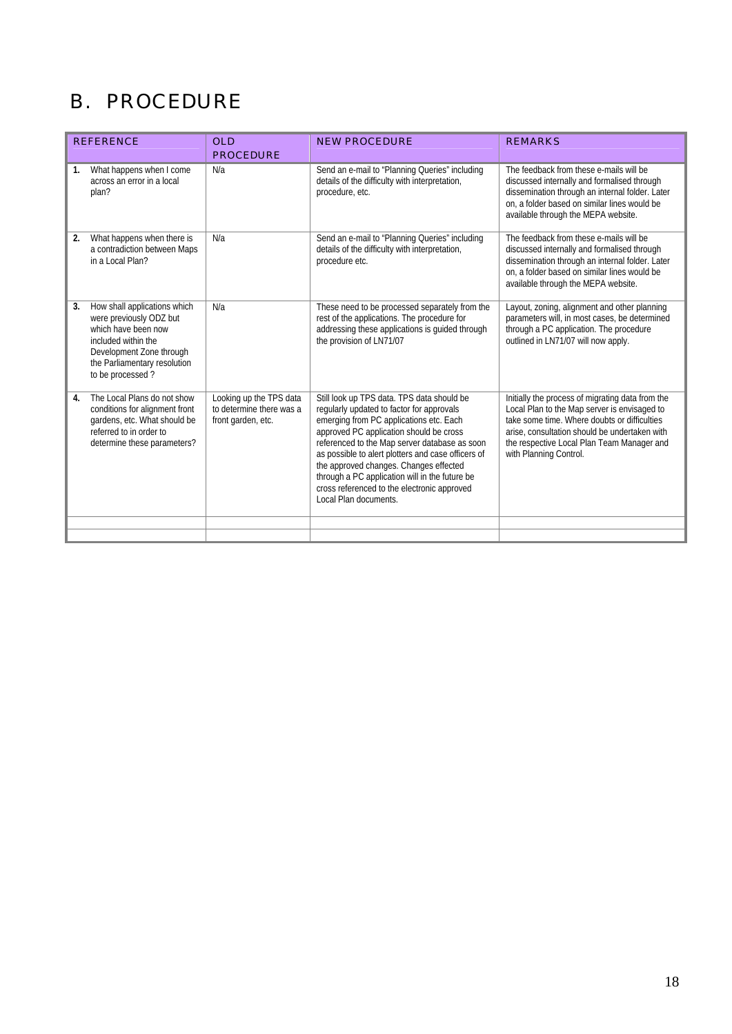## B. PROCEDURE

| <b>REFERENCE</b>                                                                                                                                                                            | <b>OLD</b><br><b>PROCEDURE</b>                                            | <b>NEW PROCEDURE</b>                                                                                                                                                                                                                                                                                                                                                                                                                                     | <b>REMARKS</b>                                                                                                                                                                                                                                                            |
|---------------------------------------------------------------------------------------------------------------------------------------------------------------------------------------------|---------------------------------------------------------------------------|----------------------------------------------------------------------------------------------------------------------------------------------------------------------------------------------------------------------------------------------------------------------------------------------------------------------------------------------------------------------------------------------------------------------------------------------------------|---------------------------------------------------------------------------------------------------------------------------------------------------------------------------------------------------------------------------------------------------------------------------|
| What happens when I come<br>1.<br>across an error in a local<br>plan?                                                                                                                       | N/a                                                                       | Send an e-mail to "Planning Queries" including<br>details of the difficulty with interpretation,<br>procedure, etc.                                                                                                                                                                                                                                                                                                                                      | The feedback from these e-mails will be<br>discussed internally and formalised through<br>dissemination through an internal folder. Later<br>on, a folder based on similar lines would be<br>available through the MEPA website.                                          |
| What happens when there is<br>2.<br>a contradiction between Maps<br>in a Local Plan?                                                                                                        | N/a                                                                       | Send an e-mail to "Planning Queries" including<br>details of the difficulty with interpretation,<br>procedure etc.                                                                                                                                                                                                                                                                                                                                       | The feedback from these e-mails will be<br>discussed internally and formalised through<br>dissemination through an internal folder. Later<br>on, a folder based on similar lines would be<br>available through the MEPA website.                                          |
| How shall applications which<br>3.<br>were previously ODZ but<br>which have been now<br>included within the<br>Development Zone through<br>the Parliamentary resolution<br>to be processed? | N/a                                                                       | These need to be processed separately from the<br>rest of the applications. The procedure for<br>addressing these applications is guided through<br>the provision of LN71/07                                                                                                                                                                                                                                                                             | Layout, zoning, alignment and other planning<br>parameters will, in most cases, be determined<br>through a PC application. The procedure<br>outlined in LN71/07 will now apply.                                                                                           |
| The Local Plans do not show<br>$\overline{4}$ .<br>conditions for alignment front<br>gardens, etc. What should be<br>referred to in order to<br>determine these parameters?                 | Looking up the TPS data<br>to determine there was a<br>front garden, etc. | Still look up TPS data. TPS data should be<br>regularly updated to factor for approvals<br>emerging from PC applications etc. Each<br>approved PC application should be cross<br>referenced to the Map server database as soon<br>as possible to alert plotters and case officers of<br>the approved changes. Changes effected<br>through a PC application will in the future be<br>cross referenced to the electronic approved<br>Local Plan documents. | Initially the process of migrating data from the<br>Local Plan to the Map server is envisaged to<br>take some time. Where doubts or difficulties<br>arise, consultation should be undertaken with<br>the respective Local Plan Team Manager and<br>with Planning Control. |
|                                                                                                                                                                                             |                                                                           |                                                                                                                                                                                                                                                                                                                                                                                                                                                          |                                                                                                                                                                                                                                                                           |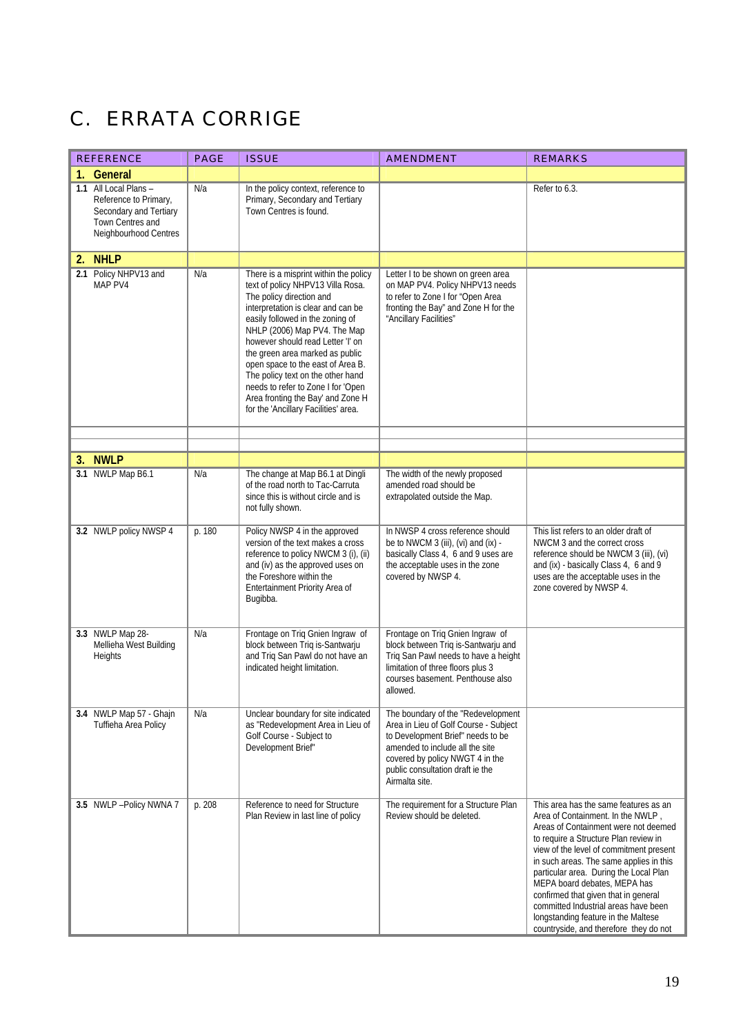## C. ERRATA CORRIGE

| <b>REFERENCE</b>                                                                                                      | <b>PAGE</b> | <b>ISSUE</b>                                                                                                                                                                                                                                                                                                                                                                                                                                                                          | <b>AMENDMENT</b>                                                                                                                                                                                                                             | <b>REMARKS</b>                                                                                                                                                                                                                                                                                                                                                                                                                                                                               |
|-----------------------------------------------------------------------------------------------------------------------|-------------|---------------------------------------------------------------------------------------------------------------------------------------------------------------------------------------------------------------------------------------------------------------------------------------------------------------------------------------------------------------------------------------------------------------------------------------------------------------------------------------|----------------------------------------------------------------------------------------------------------------------------------------------------------------------------------------------------------------------------------------------|----------------------------------------------------------------------------------------------------------------------------------------------------------------------------------------------------------------------------------------------------------------------------------------------------------------------------------------------------------------------------------------------------------------------------------------------------------------------------------------------|
| 1. General                                                                                                            |             |                                                                                                                                                                                                                                                                                                                                                                                                                                                                                       |                                                                                                                                                                                                                                              |                                                                                                                                                                                                                                                                                                                                                                                                                                                                                              |
| 1.1 All Local Plans -<br>Reference to Primary,<br>Secondary and Tertiary<br>Town Centres and<br>Neighbourhood Centres | N/a         | In the policy context, reference to<br>Primary, Secondary and Tertiary<br>Town Centres is found.                                                                                                                                                                                                                                                                                                                                                                                      |                                                                                                                                                                                                                                              | Refer to 6.3.                                                                                                                                                                                                                                                                                                                                                                                                                                                                                |
| 2. NHLP                                                                                                               |             |                                                                                                                                                                                                                                                                                                                                                                                                                                                                                       |                                                                                                                                                                                                                                              |                                                                                                                                                                                                                                                                                                                                                                                                                                                                                              |
| 2.1 Policy NHPV13 and<br>MAP PV4                                                                                      | N/a         | There is a misprint within the policy<br>text of policy NHPV13 Villa Rosa.<br>The policy direction and<br>interpretation is clear and can be<br>easily followed in the zoning of<br>NHLP (2006) Map PV4. The Map<br>however should read Letter 'I' on<br>the green area marked as public<br>open space to the east of Area B.<br>The policy text on the other hand<br>needs to refer to Zone I for 'Open<br>Area fronting the Bay' and Zone H<br>for the 'Ancillary Facilities' area. | Letter I to be shown on green area<br>on MAP PV4. Policy NHPV13 needs<br>to refer to Zone I for "Open Area<br>fronting the Bay" and Zone H for the<br>"Ancillary Facilities"                                                                 |                                                                                                                                                                                                                                                                                                                                                                                                                                                                                              |
|                                                                                                                       |             |                                                                                                                                                                                                                                                                                                                                                                                                                                                                                       |                                                                                                                                                                                                                                              |                                                                                                                                                                                                                                                                                                                                                                                                                                                                                              |
| 3. NWLP                                                                                                               |             |                                                                                                                                                                                                                                                                                                                                                                                                                                                                                       |                                                                                                                                                                                                                                              |                                                                                                                                                                                                                                                                                                                                                                                                                                                                                              |
| 3.1 NWLP Map B6.1                                                                                                     | N/a         | The change at Map B6.1 at Dingli<br>of the road north to Tac-Carruta<br>since this is without circle and is<br>not fully shown.                                                                                                                                                                                                                                                                                                                                                       | The width of the newly proposed<br>amended road should be<br>extrapolated outside the Map.                                                                                                                                                   |                                                                                                                                                                                                                                                                                                                                                                                                                                                                                              |
| 3.2 NWLP policy NWSP 4                                                                                                | p. 180      | Policy NWSP 4 in the approved<br>version of the text makes a cross<br>reference to policy NWCM 3 (i), (ii)<br>and (iv) as the approved uses on<br>the Foreshore within the<br>Entertainment Priority Area of<br>Bugibba.                                                                                                                                                                                                                                                              | In NWSP 4 cross reference should<br>be to NWCM 3 (iii), (vi) and (ix) -<br>basically Class 4, 6 and 9 uses are<br>the acceptable uses in the zone<br>covered by NWSP 4.                                                                      | This list refers to an older draft of<br>NWCM 3 and the correct cross<br>reference should be NWCM 3 (iii), (vi)<br>and (ix) - basically Class 4, 6 and 9<br>uses are the acceptable uses in the<br>zone covered by NWSP 4.                                                                                                                                                                                                                                                                   |
| 3.3 NWLP Map 28-<br>Mellieha West Building<br>Heights                                                                 | N/a         | Frontage on Triq Gnien Ingraw of<br>block between Triq is-Santwarju<br>and Triq San Pawl do not have an<br>indicated height limitation.                                                                                                                                                                                                                                                                                                                                               | Frontage on Triq Gnien Ingraw of<br>block between Triq is-Santwarju and<br>Triq San Pawl needs to have a height<br>limitation of three floors plus 3<br>courses basement. Penthouse also<br>allowed.                                         |                                                                                                                                                                                                                                                                                                                                                                                                                                                                                              |
| 3.4 NWLP Map 57 - Ghajn<br>Tuffieha Area Policy                                                                       | N/a         | Unclear boundary for site indicated<br>as "Redevelopment Area in Lieu of<br>Golf Course - Subject to<br>Development Brief"                                                                                                                                                                                                                                                                                                                                                            | The boundary of the "Redevelopment<br>Area in Lieu of Golf Course - Subject<br>to Development Brief" needs to be<br>amended to include all the site<br>covered by policy NWGT 4 in the<br>public consultation draft ie the<br>Airmalta site. |                                                                                                                                                                                                                                                                                                                                                                                                                                                                                              |
| 3.5 NWLP-Policy NWNA 7                                                                                                | p. 208      | Reference to need for Structure<br>Plan Review in last line of policy                                                                                                                                                                                                                                                                                                                                                                                                                 | The requirement for a Structure Plan<br>Review should be deleted.                                                                                                                                                                            | This area has the same features as an<br>Area of Containment. In the NWLP,<br>Areas of Containment were not deemed<br>to require a Structure Plan review in<br>view of the level of commitment present<br>in such areas. The same applies in this<br>particular area. During the Local Plan<br>MEPA board debates, MEPA has<br>confirmed that given that in general<br>committed Industrial areas have been<br>longstanding feature in the Maltese<br>countryside, and therefore they do not |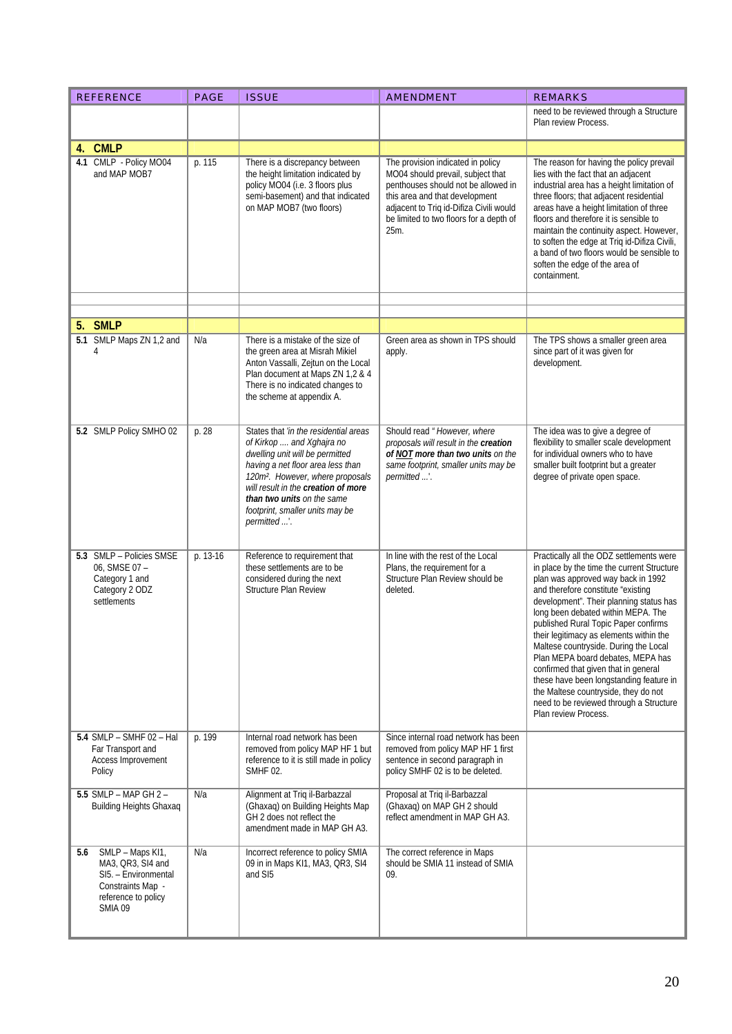| <b>REFERENCE</b>                                                                                                            | <b>PAGE</b> | <b>ISSUE</b>                                                                                                                                                                                                                                                                                                       | <b>AMENDMENT</b>                                                                                                                                                                                                                              | <b>REMARKS</b>                                                                                                                                                                                                                                                                                                                                                                                                                                                                                                                                                                                                     |
|-----------------------------------------------------------------------------------------------------------------------------|-------------|--------------------------------------------------------------------------------------------------------------------------------------------------------------------------------------------------------------------------------------------------------------------------------------------------------------------|-----------------------------------------------------------------------------------------------------------------------------------------------------------------------------------------------------------------------------------------------|--------------------------------------------------------------------------------------------------------------------------------------------------------------------------------------------------------------------------------------------------------------------------------------------------------------------------------------------------------------------------------------------------------------------------------------------------------------------------------------------------------------------------------------------------------------------------------------------------------------------|
|                                                                                                                             |             |                                                                                                                                                                                                                                                                                                                    |                                                                                                                                                                                                                                               | need to be reviewed through a Structure<br>Plan review Process.                                                                                                                                                                                                                                                                                                                                                                                                                                                                                                                                                    |
| <b>CMLP</b><br>4.                                                                                                           |             |                                                                                                                                                                                                                                                                                                                    |                                                                                                                                                                                                                                               |                                                                                                                                                                                                                                                                                                                                                                                                                                                                                                                                                                                                                    |
| 4.1 CMLP - Policy MO04<br>and MAP MOB7                                                                                      | p. 115      | There is a discrepancy between<br>the height limitation indicated by<br>policy MO04 (i.e. 3 floors plus<br>semi-basement) and that indicated<br>on MAP MOB7 (two floors)                                                                                                                                           | The provision indicated in policy<br>MO04 should prevail, subject that<br>penthouses should not be allowed in<br>this area and that development<br>adjacent to Triq id-Difiza Civili would<br>be limited to two floors for a depth of<br>25m. | The reason for having the policy prevail<br>lies with the fact that an adjacent<br>industrial area has a height limitation of<br>three floors; that adjacent residential<br>areas have a height limitation of three<br>floors and therefore it is sensible to<br>maintain the continuity aspect. However,<br>to soften the edge at Triq id-Difiza Civili,<br>a band of two floors would be sensible to<br>soften the edge of the area of<br>containment.                                                                                                                                                           |
|                                                                                                                             |             |                                                                                                                                                                                                                                                                                                                    |                                                                                                                                                                                                                                               |                                                                                                                                                                                                                                                                                                                                                                                                                                                                                                                                                                                                                    |
|                                                                                                                             |             |                                                                                                                                                                                                                                                                                                                    |                                                                                                                                                                                                                                               |                                                                                                                                                                                                                                                                                                                                                                                                                                                                                                                                                                                                                    |
| 5. SMLP                                                                                                                     |             |                                                                                                                                                                                                                                                                                                                    |                                                                                                                                                                                                                                               |                                                                                                                                                                                                                                                                                                                                                                                                                                                                                                                                                                                                                    |
| 5.1 SMLP Maps ZN 1,2 and<br>4                                                                                               | N/a         | There is a mistake of the size of<br>the green area at Misrah Mikiel<br>Anton Vassalli, Zejtun on the Local<br>Plan document at Maps ZN 1,2 & 4<br>There is no indicated changes to<br>the scheme at appendix A.                                                                                                   | Green area as shown in TPS should<br>apply.                                                                                                                                                                                                   | The TPS shows a smaller green area<br>since part of it was given for<br>development.                                                                                                                                                                                                                                                                                                                                                                                                                                                                                                                               |
| 5.2 SMLP Policy SMHO 02                                                                                                     | p. 28       | States that 'in the residential areas<br>of Kirkop  and Xghajra no<br>dwelling unit will be permitted<br>having a net floor area less than<br>120m <sup>2</sup> . However, where proposals<br>will result in the creation of more<br>than two units on the same<br>footprint, smaller units may be<br>permitted '. | Should read "However, where<br>proposals will result in the creation<br>of NOT more than two units on the<br>same footprint, smaller units may be<br>permitted '.                                                                             | The idea was to give a degree of<br>flexibility to smaller scale development<br>for individual owners who to have<br>smaller built footprint but a greater<br>degree of private open space.                                                                                                                                                                                                                                                                                                                                                                                                                        |
| 5.3 SMLP - Policies SMSE<br>06, SMSE 07 -<br>Category 1 and<br>Category 2 ODZ<br>settlements                                | p. 13-16    | Reference to requirement that<br>these settlements are to be<br>considered during the next<br>Structure Plan Review                                                                                                                                                                                                | In line with the rest of the Local<br>Plans, the requirement for a<br>Structure Plan Review should be<br>deleted.                                                                                                                             | Practically all the ODZ settlements were<br>in place by the time the current Structure<br>plan was approved way back in 1992<br>and therefore constitute "existing<br>development". Their planning status has<br>long been debated within MEPA. The<br>published Rural Topic Paper confirms<br>their legitimacy as elements within the<br>Maltese countryside. During the Local<br>Plan MEPA board debates, MEPA has<br>confirmed that given that in general<br>these have been longstanding feature in<br>the Maltese countryside, they do not<br>need to be reviewed through a Structure<br>Plan review Process. |
| 5.4 SMLP - SMHF 02 - Hal<br>Far Transport and<br>Access Improvement<br>Policy                                               | p. 199      | Internal road network has been<br>removed from policy MAP HF 1 but<br>reference to it is still made in policy<br>SMHF 02.                                                                                                                                                                                          | Since internal road network has been<br>removed from policy MAP HF 1 first<br>sentence in second paragraph in<br>policy SMHF 02 is to be deleted.                                                                                             |                                                                                                                                                                                                                                                                                                                                                                                                                                                                                                                                                                                                                    |
| 5.5 SMLP - MAP GH 2 -<br><b>Building Heights Ghaxaq</b>                                                                     | N/a         | Alignment at Trig il-Barbazzal<br>(Ghaxaq) on Building Heights Map<br>GH 2 does not reflect the<br>amendment made in MAP GH A3.                                                                                                                                                                                    | Proposal at Triq il-Barbazzal<br>(Ghaxaq) on MAP GH 2 should<br>reflect amendment in MAP GH A3.                                                                                                                                               |                                                                                                                                                                                                                                                                                                                                                                                                                                                                                                                                                                                                                    |
| SMLP - Maps KI1,<br>5.6<br>MA3, QR3, SI4 and<br>SI5. - Environmental<br>Constraints Map -<br>reference to policy<br>SMIA 09 | N/a         | Incorrect reference to policy SMIA<br>09 in in Maps KI1, MA3, QR3, SI4<br>and SI5                                                                                                                                                                                                                                  | The correct reference in Maps<br>should be SMIA 11 instead of SMIA<br>09.                                                                                                                                                                     |                                                                                                                                                                                                                                                                                                                                                                                                                                                                                                                                                                                                                    |